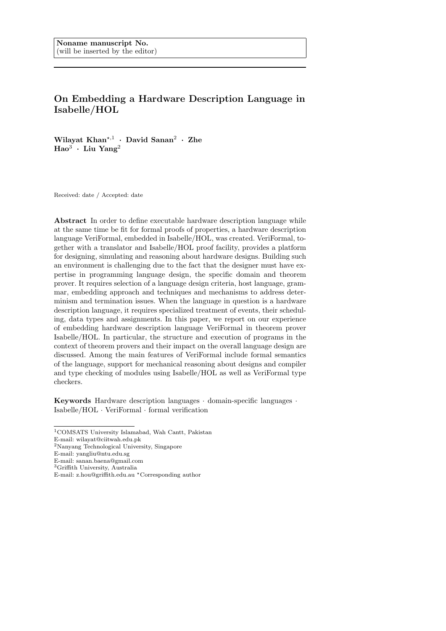# On Embedding a Hardware Description Language in Isabelle/HOL

Wilayat Khan<sup>\*,1</sup> · David Sanan<sup>2</sup> · Zhe  $Hao^3 + Liu Yang^2$ 

Received: date / Accepted: date

Abstract In order to define executable hardware description language while at the same time be fit for formal proofs of properties, a hardware description language VeriFormal, embedded in Isabelle/HOL, was created. VeriFormal, together with a translator and Isabelle/HOL proof facility, provides a platform for designing, simulating and reasoning about hardware designs. Building such an environment is challenging due to the fact that the designer must have expertise in programming language design, the specific domain and theorem prover. It requires selection of a language design criteria, host language, grammar, embedding approach and techniques and mechanisms to address determinism and termination issues. When the language in question is a hardware description language, it requires specialized treatment of events, their scheduling, data types and assignments. In this paper, we report on our experience of embedding hardware description language VeriFormal in theorem prover Isabelle/HOL. In particular, the structure and execution of programs in the context of theorem provers and their impact on the overall language design are discussed. Among the main features of VeriFormal include formal semantics of the language, support for mechanical reasoning about designs and compiler and type checking of modules using Isabelle/HOL as well as VeriFormal type checkers.

Keywords Hardware description languages · domain-specific languages · Isabelle/HOL · VeriFormal · formal verification

E-mail: yangliu@ntu.edu.sg

 $^1 \rm{COMSATS}$ University Islamabad, Wah Cantt, Pakistan

E-mail: wilayat@ciitwah.edu.pk

<sup>2</sup>Nanyang Technological University, Singapore

E-mail: sanan.baena@gmail.com

 $^3\rm{Griffith}$ University, Australia

E-mail: z.hou@griffith.edu.au ?Corresponding author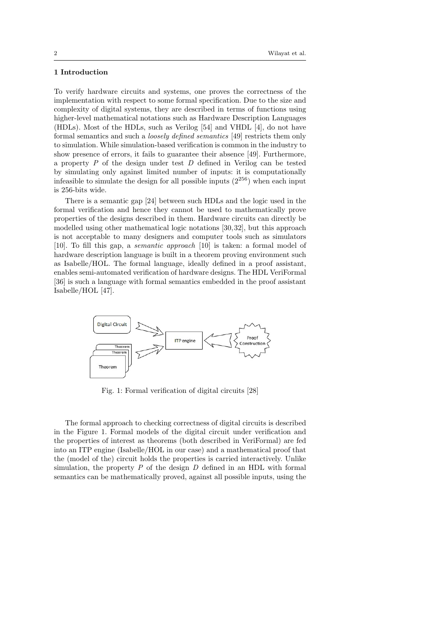# 1 Introduction

To verify hardware circuits and systems, one proves the correctness of the implementation with respect to some formal specification. Due to the size and complexity of digital systems, they are described in terms of functions using higher-level mathematical notations such as Hardware Description Languages (HDLs). Most of the HDLs, such as Verilog [54] and VHDL [4], do not have formal semantics and such a loosely defined semantics [49] restricts them only to simulation. While simulation-based verification is common in the industry to show presence of errors, it fails to guarantee their absence [49]. Furthermore, a property P of the design under test D defined in Verilog can be tested by simulating only against limited number of inputs: it is computationally infeasible to simulate the design for all possible inputs  $(2^{256})$  when each input is 256-bits wide.

There is a semantic gap [24] between such HDLs and the logic used in the formal verification and hence they cannot be used to mathematically prove properties of the designs described in them. Hardware circuits can directly be modelled using other mathematical logic notations [30, 32], but this approach is not acceptable to many designers and computer tools such as simulators [10]. To fill this gap, a semantic approach [10] is taken: a formal model of hardware description language is built in a theorem proving environment such as Isabelle/HOL. The formal language, ideally defined in a proof assistant, enables semi-automated verification of hardware designs. The HDL VeriFormal [36] is such a language with formal semantics embedded in the proof assistant Isabelle/HOL [47].



Fig. 1: Formal verification of digital circuits [28]

The formal approach to checking correctness of digital circuits is described in the Figure 1. Formal models of the digital circuit under verification and the properties of interest as theorems (both described in VeriFormal) are fed into an ITP engine (Isabelle/HOL in our case) and a mathematical proof that the (model of the) circuit holds the properties is carried interactively. Unlike simulation, the property  $P$  of the design  $D$  defined in an HDL with formal semantics can be mathematically proved, against all possible inputs, using the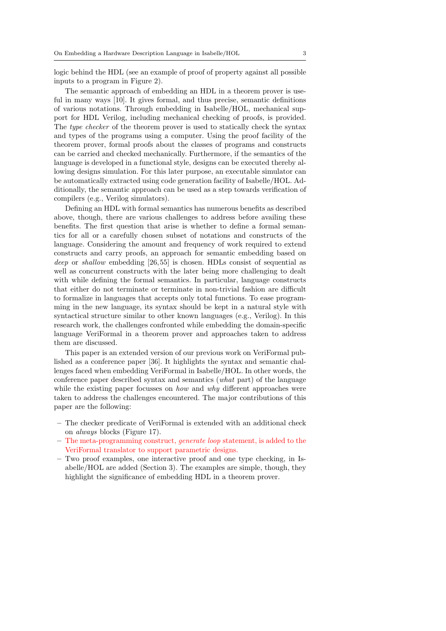logic behind the HDL (see an example of proof of property against all possible inputs to a program in Figure 2).

The semantic approach of embedding an HDL in a theorem prover is useful in many ways [10]. It gives formal, and thus precise, semantic definitions of various notations. Through embedding in Isabelle/HOL, mechanical support for HDL Verilog, including mechanical checking of proofs, is provided. The type checker of the theorem prover is used to statically check the syntax and types of the programs using a computer. Using the proof facility of the theorem prover, formal proofs about the classes of programs and constructs can be carried and checked mechanically. Furthermore, if the semantics of the language is developed in a functional style, designs can be executed thereby allowing designs simulation. For this later purpose, an executable simulator can be automatically extracted using code generation facility of Isabelle/HOL. Additionally, the semantic approach can be used as a step towards verification of compilers (e.g., Verilog simulators).

Defining an HDL with formal semantics has numerous benefits as described above, though, there are various challenges to address before availing these benefits. The first question that arise is whether to define a formal semantics for all or a carefully chosen subset of notations and constructs of the language. Considering the amount and frequency of work required to extend constructs and carry proofs, an approach for semantic embedding based on deep or shallow embedding [26,55] is chosen. HDLs consist of sequential as well as concurrent constructs with the later being more challenging to dealt with while defining the formal semantics. In particular, language constructs that either do not terminate or terminate in non-trivial fashion are difficult to formalize in languages that accepts only total functions. To ease programming in the new language, its syntax should be kept in a natural style with syntactical structure similar to other known languages (e.g., Verilog). In this research work, the challenges confronted while embedding the domain-specific language VeriFormal in a theorem prover and approaches taken to address them are discussed.

This paper is an extended version of our previous work on VeriFormal published as a conference paper [36]. It highlights the syntax and semantic challenges faced when embedding VeriFormal in Isabelle/HOL. In other words, the conference paper described syntax and semantics (what part) of the language while the existing paper focusses on *how* and *why* different approaches were taken to address the challenges encountered. The major contributions of this paper are the following:

- The checker predicate of VeriFormal is extended with an additional check on always blocks (Figure 17).
- The meta-programming construct, generate loop statement, is added to the VeriFormal translator to support parametric designs.
- Two proof examples, one interactive proof and one type checking, in Isabelle/HOL are added (Section 3). The examples are simple, though, they highlight the significance of embedding HDL in a theorem prover.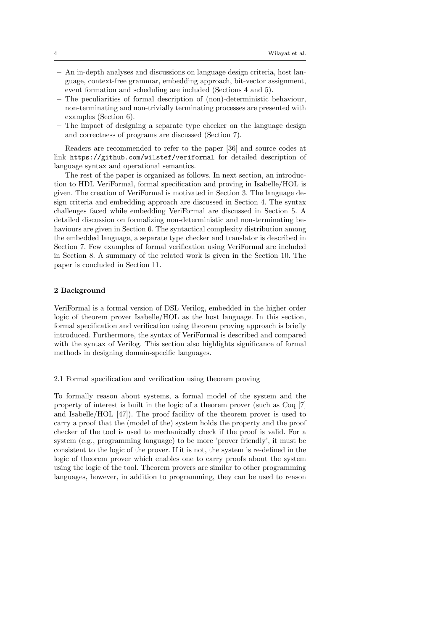- An in-depth analyses and discussions on language design criteria, host language, context-free grammar, embedding approach, bit-vector assignment, event formation and scheduling are included (Sections 4 and 5).
- The peculiarities of formal description of (non)-deterministic behaviour, non-terminating and non-trivially terminating processes are presented with examples (Section 6).
- The impact of designing a separate type checker on the language design and correctness of programs are discussed (Section 7).

Readers are recommended to refer to the paper [36] and source codes at link https://github.com/wilstef/veriformal for detailed description of language syntax and operational semantics.

The rest of the paper is organized as follows. In next section, an introduction to HDL VeriFormal, formal specification and proving in Isabelle/HOL is given. The creation of VeriFormal is motivated in Section 3. The language design criteria and embedding approach are discussed in Section 4. The syntax challenges faced while embedding VeriFormal are discussed in Section 5. A detailed discussion on formalizing non-deterministic and non-terminating behaviours are given in Section 6. The syntactical complexity distribution among the embedded language, a separate type checker and translator is described in Section 7. Few examples of formal verification using VeriFormal are included in Section 8. A summary of the related work is given in the Section 10. The paper is concluded in Section 11.

# 2 Background

VeriFormal is a formal version of DSL Verilog, embedded in the higher order logic of theorem prover Isabelle/HOL as the host language. In this section, formal specification and verification using theorem proving approach is briefly introduced. Furthermore, the syntax of VeriFormal is described and compared with the syntax of Verilog. This section also highlights significance of formal methods in designing domain-specific languages.

# 2.1 Formal specification and verification using theorem proving

To formally reason about systems, a formal model of the system and the property of interest is built in the logic of a theorem prover (such as Coq [7] and Isabelle/HOL [47]). The proof facility of the theorem prover is used to carry a proof that the (model of the) system holds the property and the proof checker of the tool is used to mechanically check if the proof is valid. For a system (e.g., programming language) to be more 'prover friendly', it must be consistent to the logic of the prover. If it is not, the system is re-defined in the logic of theorem prover which enables one to carry proofs about the system using the logic of the tool. Theorem provers are similar to other programming languages, however, in addition to programming, they can be used to reason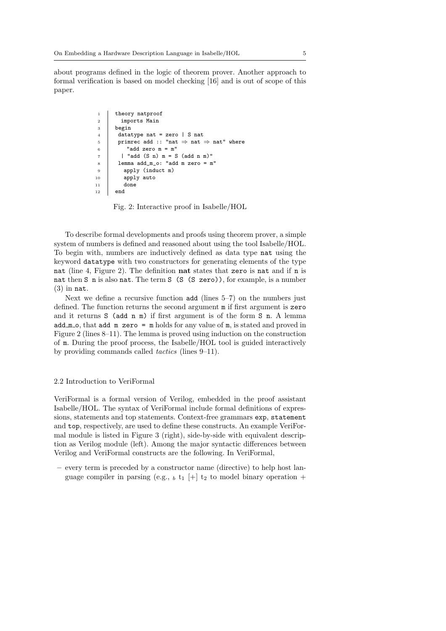about programs defined in the logic of theorem prover. Another approach to formal verification is based on model checking [16] and is out of scope of this paper.

```
1 theory natproof
2 imports Main
3 begin
4 datatype nat = zero | S nat
5 primrec add :: "nat \Rightarrow nat \Rightarrow nat" where
6 \mid "add zero m = m"
7 | \cdots | "add (S n) m = S (add n m)"
8 | lemma add_m_o: "add m zero = m"
        apply (induct m)
10 apply auto
11 done
12 end
```
Fig. 2: Interactive proof in Isabelle/HOL

To describe formal developments and proofs using theorem prover, a simple system of numbers is defined and reasoned about using the tool Isabelle/HOL. To begin with, numbers are inductively defined as data type nat using the keyword datatype with two constructors for generating elements of the type nat (line 4, Figure 2). The definition nat states that zero is nat and if n is nat then S n is also nat. The term S (S (S zero)), for example, is a number (3) in nat.

Next we define a recursive function  $add$  (lines  $5-7$ ) on the numbers just defined. The function returns the second argument m if first argument is zero and it returns S (add n m) if first argument is of the form S n. A lemma add  $m_0$ , that add  $m_0$  zero =  $m_0$  holds for any value of  $m$ , is stated and proved in Figure 2 (lines 8–11). The lemma is proved using induction on the construction of m. During the proof process, the Isabelle/HOL tool is guided interactively by providing commands called tactics (lines 9–11).

## 2.2 Introduction to VeriFormal

VeriFormal is a formal version of Verilog, embedded in the proof assistant Isabelle/HOL. The syntax of VeriFormal include formal definitions of expressions, statements and top statements. Context-free grammars exp, statement and top, respectively, are used to define these constructs. An example VeriFormal module is listed in Figure 3 (right), side-by-side with equivalent description as Verilog module (left). Among the major syntactic differences between Verilog and VeriFormal constructs are the following. In VeriFormal,

– every term is preceded by a constructor name (directive) to help host language compiler in parsing (e.g.,  $_b$  t<sub>1</sub>  $[+]$  t<sub>2</sub> to model binary operation +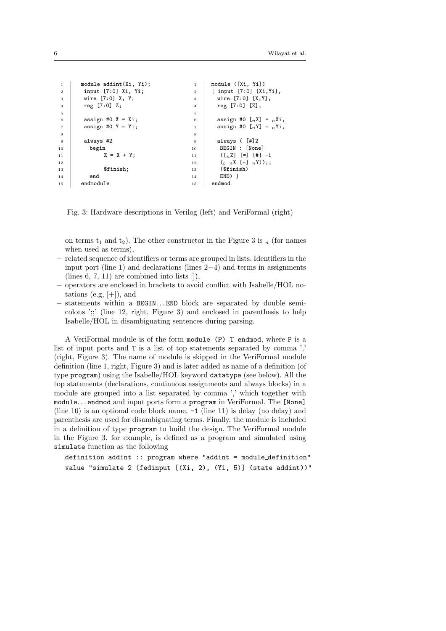```
1 module addint(Xi, Yi);
\overline{2} input [7:0] Xi, Yi;
3 wire [7:0] X, Y;
4 \text{ reg } [7:0] \text{ Z};5
6 assign #0 X = Xi;
7 assign #0 Y = Yi;
8
9 always #2
10 begin
11 Z = X + Y;12
13 $finish;
14 end
15 endmodule
                                         1 | module ([Xi, Yi])
                                         2 [ input [7:0] [Xi,Yi],
                                         3 wire [7:0] [X, Y],
                                         4 \text{ reg } [7:0] [Z],5
                                         6 assign #0 [nX] = nXi,
                                         7 assign #0 [nY] = nYi,
                                         8
                                         9 always ( [#]2
                                        10 | BEGIN : [None]
                                        11 ([\![nZ]\!] [=] [\![\#]\!] -1
                                        12 \Big\{ \Big| \Big( \int_{b}^{b} nX \Big[ + \Big] \Big| nY \Big) \Big);13 ($finish)
                                        _{14} END) ]
                                        15 endmod
```
Fig. 3: Hardware descriptions in Verilog (left) and VeriFormal (right)

on terms  $t_1$  and  $t_2$ ). The other constructor in the Figure 3 is  $_n$  (for names when used as terms),

- related sequence of identifiers or terms are grouped in lists. Identifiers in the input port (line 1) and declarations (lines 2−4) and terms in assignments (lines 6, 7, 11) are combined into lists  $\lbrack \rbrack$ ),
- operators are enclosed in brackets to avoid conflict with Isabelle/HOL notations (e.g,  $[+]$ ), and
- statements within a BEGIN... END block are separated by double semicolons ';;' (line 12, right, Figure 3) and enclosed in parenthesis to help Isabelle/HOL in disambiguating sentences during parsing.

A VeriFormal module is of the form module (P) T endmod, where P is a list of input ports and T is a list of top statements separated by comma ',' (right, Figure 3). The name of module is skipped in the VeriFormal module definition (line 1, right, Figure 3) and is later added as name of a definition (of type program) using the Isabelle/HOL keyword datatype (see below). All the top statements (declarations, continuous assignments and always blocks) in a module are grouped into a list separated by comma ',' which together with module. . . endmod and input ports form a program in VeriFormal. The [None] (line 10) is an optional code block name, -1 (line 11) is delay (no delay) and parenthesis are used for disambiguating terms. Finally, the module is included in a definition of type program to build the design. The VeriFormal module in the Figure 3, for example, is defined as a program and simulated using simulate function as the following

definition addint :: program where "addint = module definition" value "simulate 2 (fedinput [(Xi, 2), (Yi, 5)] (state addint))"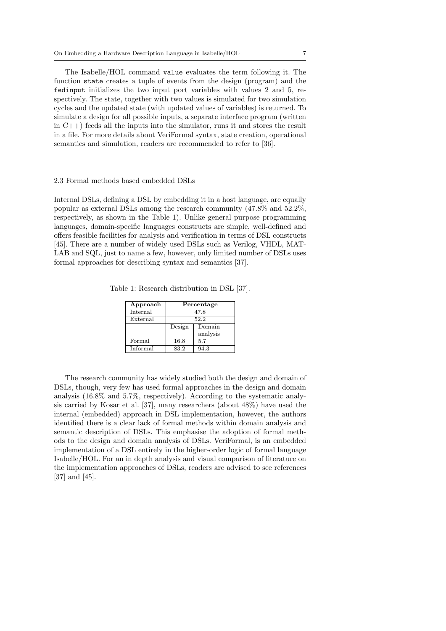The Isabelle/HOL command value evaluates the term following it. The function state creates a tuple of events from the design (program) and the fedinput initializes the two input port variables with values 2 and 5, respectively. The state, together with two values is simulated for two simulation cycles and the updated state (with updated values of variables) is returned. To simulate a design for all possible inputs, a separate interface program (written in  $C_{++}$ ) feeds all the inputs into the simulator, runs it and stores the result in a file. For more details about VeriFormal syntax, state creation, operational semantics and simulation, readers are recommended to refer to [36].

#### 2.3 Formal methods based embedded DSLs

Internal DSLs, defining a DSL by embedding it in a host language, are equally popular as external DSLs among the research community (47.8% and 52.2%, respectively, as shown in the Table 1). Unlike general purpose programming languages, domain-specific languages constructs are simple, well-defined and offers feasible facilities for analysis and verification in terms of DSL constructs [45]. There are a number of widely used DSLs such as Verilog, VHDL, MAT-LAB and SQL, just to name a few, however, only limited number of DSLs uses formal approaches for describing syntax and semantics [37].

Table 1: Research distribution in DSL [37].

| Approach | Percentage |                    |
|----------|------------|--------------------|
| Internal | 47.8       |                    |
| External | 52.2       |                    |
|          | Design     | Domain<br>analysis |
| Formal   | 16.8       | 5.7                |
| Informal | 83.2       | 94.3               |

The research community has widely studied both the design and domain of DSLs, though, very few has used formal approaches in the design and domain analysis (16.8% and 5.7%, respectively). According to the systematic analysis carried by Kosar et al. [37], many researchers (about 48%) have used the internal (embedded) approach in DSL implementation, however, the authors identified there is a clear lack of formal methods within domain analysis and semantic description of DSLs. This emphasise the adoption of formal methods to the design and domain analysis of DSLs. VeriFormal, is an embedded implementation of a DSL entirely in the higher-order logic of formal language Isabelle/HOL. For an in depth analysis and visual comparison of literature on the implementation approaches of DSLs, readers are advised to see references [37] and [45].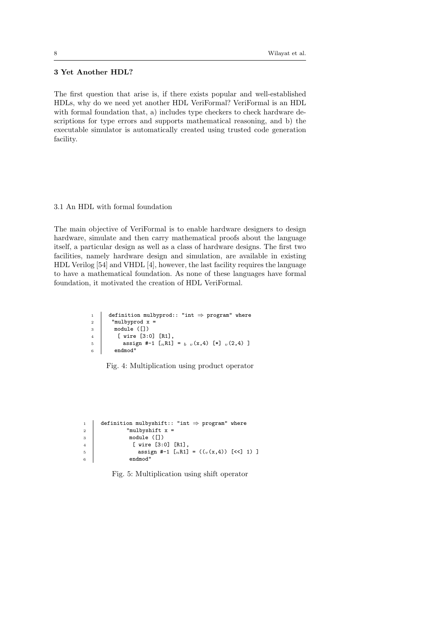# 3 Yet Another HDL?

The first question that arise is, if there exists popular and well-established HDLs, why do we need yet another HDL VeriFormal? VeriFormal is an HDL with formal foundation that, a) includes type checkers to check hardware descriptions for type errors and supports mathematical reasoning, and b) the executable simulator is automatically created using trusted code generation facility.

#### 3.1 An HDL with formal foundation

The main objective of VeriFormal is to enable hardware designers to design hardware, simulate and then carry mathematical proofs about the language itself, a particular design as well as a class of hardware designs. The first two facilities, namely hardware design and simulation, are available in existing HDL Verilog [54] and VHDL [4], however, the last facility requires the language to have a mathematical foundation. As none of these languages have formal foundation, it motivated the creation of HDL VeriFormal.

```
1 definition mulbyprod:: "int ⇒ program" where
2 "mulbyprod x =
3 module ([])
4 | [ wire [3:0] [R1],
5 assign #-1 [nR1] = b v(x, 4) [*] v(2, 4) ]
6 \quad endmod"
```
Fig. 4: Multiplication using product operator

```
1 definition mulbyshift:: "int \Rightarrow program" where
\begin{array}{c|c}\n 2 \\
 3\n \end{array} "mulbyshift x =
                        module ([])
4 [ wire [3:0] [R1],
\begin{array}{c|c} 5 & \text{assign #-1 } [\, n \text{R1}] = ((\, v \, (\text{x}, 4)) \, [\, \text{<<} \, ] \, 1) \, ] \, 6 & \text{endmod} \end{array}endmod"
```
Fig. 5: Multiplication using shift operator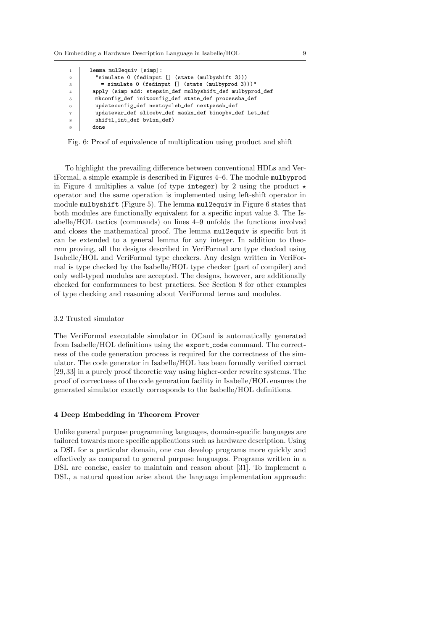| 1              | lemma mul2equiv [simp]:                                   |
|----------------|-----------------------------------------------------------|
| $\overline{2}$ | "simulate 0 (fedinput [] (state (mulbyshift 3)))          |
| 3              | = simulate 0 (fedinput [] (state (mulbyprod 3)))"         |
| $\overline{A}$ | apply (simp add: stepsim_def mulbyshift_def mulbyprod_def |
| $\overline{5}$ | mkconfig_def initconfig_def state_def processba_def       |
| 6              | updateconfig_def nextcycleb_def nextpassb_def             |
|                | updatevar_def slicebv_def maskn_def binopbv_def Let_def   |
| 8              | shiftl_int_def bvlsn_def)                                 |
| 9              | done                                                      |



To highlight the prevailing difference between conventional HDLs and VeriFormal, a simple example is described in Figures 4–6. The module mulbyprod in Figure 4 multiplies a value (of type integer) by 2 using the product  $\star$ operator and the same operation is implemented using left-shift operator in module mulbyshift (Figure 5). The lemma mul2equiv in Figure 6 states that both modules are functionally equivalent for a specific input value 3. The Isabelle/HOL tactics (commands) on lines 4–9 unfolds the functions involved and closes the mathematical proof. The lemma mul2equiv is specific but it can be extended to a general lemma for any integer. In addition to theorem proving, all the designs described in VeriFormal are type checked using Isabelle/HOL and VeriFormal type checkers. Any design written in VeriFormal is type checked by the Isabelle/HOL type checker (part of compiler) and only well-typed modules are accepted. The designs, however, are additionally checked for conformances to best practices. See Section 8 for other examples of type checking and reasoning about VeriFormal terms and modules.

#### 3.2 Trusted simulator

The VeriFormal executable simulator in OCaml is automatically generated from Isabelle/HOL definitions using the export code command. The correctness of the code generation process is required for the correctness of the simulator. The code generator in Isabelle/HOL has been formally verified correct [29, 33] in a purely proof theoretic way using higher-order rewrite systems. The proof of correctness of the code generation facility in Isabelle/HOL ensures the generated simulator exactly corresponds to the Isabelle/HOL definitions.

# 4 Deep Embedding in Theorem Prover

Unlike general purpose programming languages, domain-specific languages are tailored towards more specific applications such as hardware description. Using a DSL for a particular domain, one can develop programs more quickly and effectively as compared to general purpose languages. Programs written in a DSL are concise, easier to maintain and reason about [31]. To implement a DSL, a natural question arise about the language implementation approach: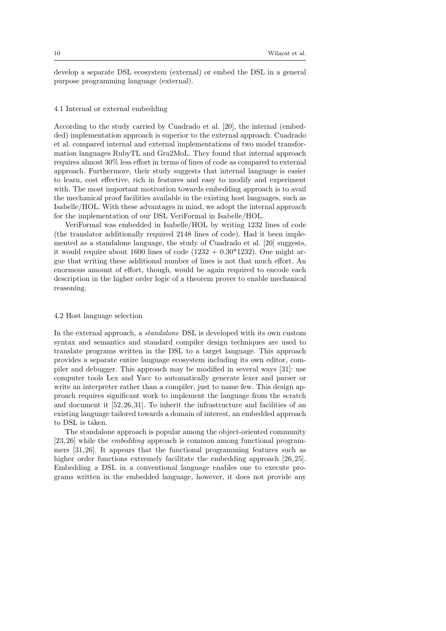develop a separate DSL ecosystem (external) or embed the DSL in a general purpose programming language (external).

#### 4.1 Internal or external embedding

According to the study carried by Cuadrado et al. [20], the internal (embedded) implementation approach is superior to the external approach. Cuadrado et al. compared internal and external implementations of two model transformation languages RubyTL and Gra2MoL. They found that internal approach requires almost 30% less effort in terms of lines of code as compared to external approach. Furthermore, their study suggests that internal language is easier to learn, cost effective, rich in features and easy to modify and experiment with. The most important motivation towards embedding approach is to avail the mechanical proof facilities available in the existing host languages, such as Isabelle/HOL. With these advantages in mind, we adopt the internal approach for the implementation of our DSL VeriFormal in Isabelle/HOL.

VeriFormal was embedded in Isabelle/HOL by writing 1232 lines of code (the translator additionally required 2148 lines of code). Had it been implemented as a standalone language, the study of Cuadrado et al. [20] suggests, it would require about 1600 lines of code  $(1232 + 0.30^*1232)$ . One might argue that writing these additional number of lines is not that much effort. An enormous amount of effort, though, would be again required to encode each description in the higher order logic of a theorem prover to enable mechanical reasoning.

#### 4.2 Host language selection

In the external approach, a standalone DSL is developed with its own custom syntax and semantics and standard compiler design techniques are used to translate programs written in the DSL to a target language. This approach provides a separate entire language ecosystem including its own editor, compiler and debugger. This approach may be modified in several ways [31]: use computer tools Lex and Yacc to automatically generate lexer and parser or write an interpreter rather than a compiler, just to name few. This design approach requires significant work to implement the language from the scratch and document it [52, 26, 31]. To inherit the infrastructure and facilities of an existing language tailored towards a domain of interest, an embedded approach to DSL is taken.

The standalone approach is popular among the object-oriented community [23, 26] while the embedding approach is common among functional programmers [31, 26]. It appears that the functional programming features such as higher order functions extremely facilitate the embedding approach [26, 25]. Embedding a DSL in a conventional language enables one to execute programs written in the embedded language, however, it does not provide any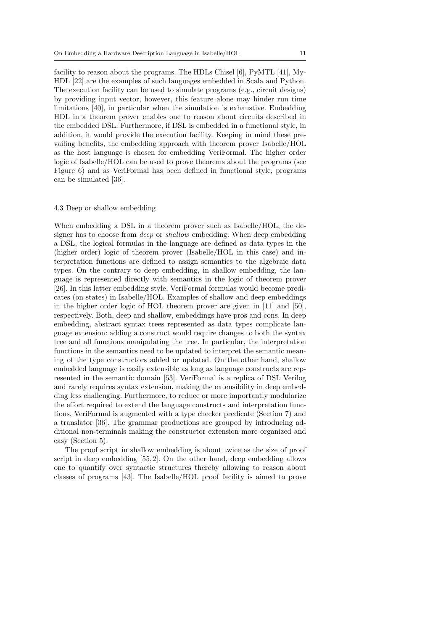facility to reason about the programs. The HDLs Chisel [6], PyMTL [41], My-HDL [22] are the examples of such languages embedded in Scala and Python. The execution facility can be used to simulate programs (e.g., circuit designs) by providing input vector, however, this feature alone may hinder run time limitations [40], in particular when the simulation is exhaustive. Embedding HDL in a theorem prover enables one to reason about circuits described in the embedded DSL. Furthermore, if DSL is embedded in a functional style, in addition, it would provide the execution facility. Keeping in mind these prevailing benefits, the embedding approach with theorem prover Isabelle/HOL as the host language is chosen for embedding VeriFormal. The higher order logic of Isabelle/HOL can be used to prove theorems about the programs (see Figure 6) and as VeriFormal has been defined in functional style, programs can be simulated [36].

#### 4.3 Deep or shallow embedding

When embedding a DSL in a theorem prover such as Isabelle/HOL, the designer has to choose from *deep* or *shallow* embedding. When deep embedding a DSL, the logical formulas in the language are defined as data types in the (higher order) logic of theorem prover (Isabelle/HOL in this case) and interpretation functions are defined to assign semantics to the algebraic data types. On the contrary to deep embedding, in shallow embedding, the language is represented directly with semantics in the logic of theorem prover [26]. In this latter embedding style, VeriFormal formulas would become predicates (on states) in Isabelle/HOL. Examples of shallow and deep embeddings in the higher order logic of HOL theorem prover are given in [11] and [50], respectively. Both, deep and shallow, embeddings have pros and cons. In deep embedding, abstract syntax trees represented as data types complicate language extension: adding a construct would require changes to both the syntax tree and all functions manipulating the tree. In particular, the interpretation functions in the semantics need to be updated to interpret the semantic meaning of the type constructors added or updated. On the other hand, shallow embedded language is easily extensible as long as language constructs are represented in the semantic domain [53]. VeriFormal is a replica of DSL Verilog and rarely requires syntax extension, making the extensibility in deep embedding less challenging. Furthermore, to reduce or more importantly modularize the effort required to extend the language constructs and interpretation functions, VeriFormal is augmented with a type checker predicate (Section 7) and a translator [36]. The grammar productions are grouped by introducing additional non-terminals making the constructor extension more organized and easy (Section 5).

The proof script in shallow embedding is about twice as the size of proof script in deep embedding [55,2]. On the other hand, deep embedding allows one to quantify over syntactic structures thereby allowing to reason about classes of programs [43]. The Isabelle/HOL proof facility is aimed to prove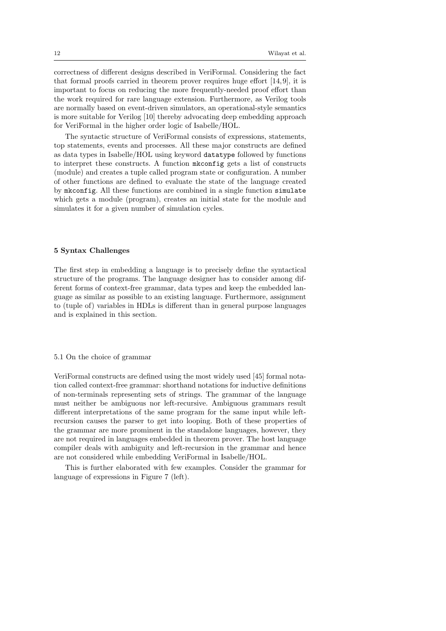correctness of different designs described in VeriFormal. Considering the fact that formal proofs carried in theorem prover requires huge effort [14, 9], it is important to focus on reducing the more frequently-needed proof effort than the work required for rare language extension. Furthermore, as Verilog tools are normally based on event-driven simulators, an operational-style semantics is more suitable for Verilog [10] thereby advocating deep embedding approach for VeriFormal in the higher order logic of Isabelle/HOL.

The syntactic structure of VeriFormal consists of expressions, statements, top statements, events and processes. All these major constructs are defined as data types in Isabelle/HOL using keyword datatype followed by functions to interpret these constructs. A function mkconfig gets a list of constructs (module) and creates a tuple called program state or configuration. A number of other functions are defined to evaluate the state of the language created by mkconfig. All these functions are combined in a single function simulate which gets a module (program), creates an initial state for the module and simulates it for a given number of simulation cycles.

## 5 Syntax Challenges

The first step in embedding a language is to precisely define the syntactical structure of the programs. The language designer has to consider among different forms of context-free grammar, data types and keep the embedded language as similar as possible to an existing language. Furthermore, assignment to (tuple of) variables in HDLs is different than in general purpose languages and is explained in this section.

# 5.1 On the choice of grammar

VeriFormal constructs are defined using the most widely used [45] formal notation called context-free grammar: shorthand notations for inductive definitions of non-terminals representing sets of strings. The grammar of the language must neither be ambiguous nor left-recursive. Ambiguous grammars result different interpretations of the same program for the same input while leftrecursion causes the parser to get into looping. Both of these properties of the grammar are more prominent in the standalone languages, however, they are not required in languages embedded in theorem prover. The host language compiler deals with ambiguity and left-recursion in the grammar and hence are not considered while embedding VeriFormal in Isabelle/HOL.

This is further elaborated with few examples. Consider the grammar for language of expressions in Figure 7 (left).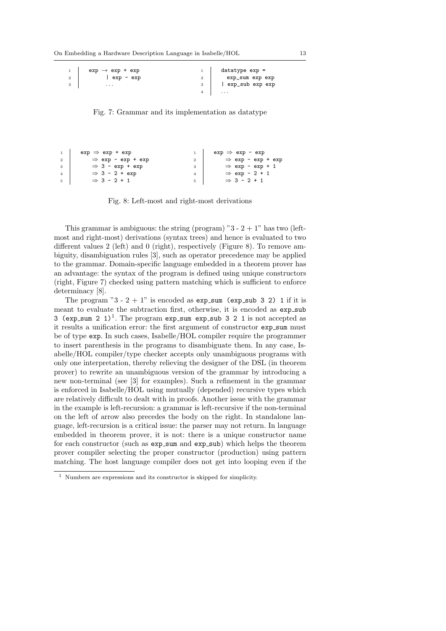|              | $\exp$ $\rightarrow$ $\exp$ + $\exp$ | $datatype exp =$ |
|--------------|--------------------------------------|------------------|
| $\mathbf{2}$ | ехр - ехр                            | exp_sum exp exp  |
| - 3          | $\cdots$                             | exp_sub exp exp  |
|              |                                      | $\cdots$         |

Fig. 7: Grammar and its implementation as datatype

|   | $exp \Rightarrow exp + exp$   | $\exp \Rightarrow \exp - \exp$              |                               |
|---|-------------------------------|---------------------------------------------|-------------------------------|
|   | $\Rightarrow$ exp - exp + exp | 2                                           | $\Rightarrow$ exp - exp + exp |
|   | $\Rightarrow$ 3 - exp + exp   | $\Rightarrow$ exp - exp + 1<br>3            |                               |
|   | $\Rightarrow$ 3 - 2 + exp     | $\Rightarrow$ exp - 2 + 1<br>$\overline{4}$ |                               |
| 5 | $\Rightarrow$ 3 - 2 + 1       | $\Rightarrow$ 3 - 2 + 1<br>5                |                               |

Fig. 8: Left-most and right-most derivations

This grammar is ambiguous: the string (program)  $3 - 2 + 1$ " has two (leftmost and right-most) derivations (syntax trees) and hence is evaluated to two different values 2 (left) and 0 (right), respectively (Figure 8). To remove ambiguity, disambiguation rules [3], such as operator precedence may be applied to the grammar. Domain-specific language embedded in a theorem prover has an advantage: the syntax of the program is defined using unique constructors (right, Figure 7) checked using pattern matching which is sufficient to enforce determinacy [8].

The program "3 - 2 + 1" is encoded as  $exp\_sum$  ( $exp\_sub$  3 2) 1 if it is meant to evaluate the subtraction first, otherwise, it is encoded as  $exp\_sub$ 3 (exp\_sum  $2 \ 1$ )<sup>1</sup>. The program exp\_sum exp\_sub 3 2 1 is not accepted as it results a unification error: the first argument of constructor exp sum must be of type exp. In such cases, Isabelle/HOL compiler require the programmer to insert parenthesis in the programs to disambiguate them. In any case, Isabelle/HOL compiler/type checker accepts only unambiguous programs with only one interpretation, thereby relieving the designer of the DSL (in theorem prover) to rewrite an unambiguous version of the grammar by introducing a new non-terminal (see [3] for examples). Such a refinement in the grammar is enforced in Isabelle/HOL using mutually (depended) recursive types which are relatively difficult to dealt with in proofs. Another issue with the grammar in the example is left-recursion: a grammar is left-recursive if the non-terminal on the left of arrow also precedes the body on the right. In standalone language, left-recursion is a critical issue: the parser may not return. In language embedded in theorem prover, it is not: there is a unique constructor name for each constructor (such as  $exp\_sum$  and  $exp\_sub$ ) which helps the theorem prover compiler selecting the proper constructor (production) using pattern matching. The host language compiler does not get into looping even if the

<sup>1</sup> Numbers are expressions and its constructor is skipped for simplicity.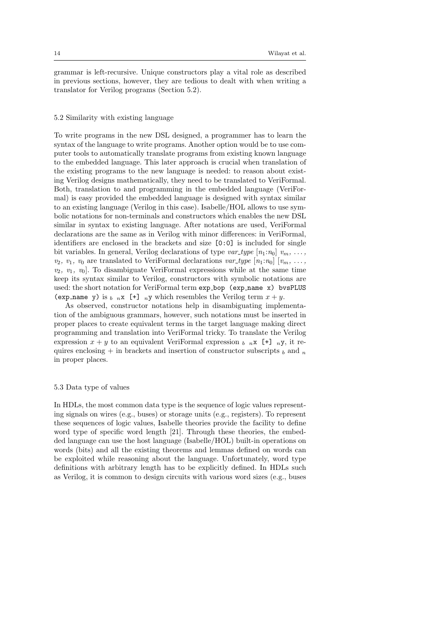grammar is left-recursive. Unique constructors play a vital role as described in previous sections, however, they are tedious to dealt with when writing a translator for Verilog programs (Section 5.2).

#### 5.2 Similarity with existing language

To write programs in the new DSL designed, a programmer has to learn the syntax of the language to write programs. Another option would be to use computer tools to automatically translate programs from existing known language to the embedded language. This later approach is crucial when translation of the existing programs to the new language is needed: to reason about existing Verilog designs mathematically, they need to be translated to VeriFormal. Both, translation to and programming in the embedded language (VeriFormal) is easy provided the embedded language is designed with syntax similar to an existing language (Verilog in this case). Isabelle/HOL allows to use symbolic notations for non-terminals and constructors which enables the new DSL similar in syntax to existing language. After notations are used, VeriFormal declarations are the same as in Verilog with minor differences: in VeriFormal, identifiers are enclosed in the brackets and size [0:0] is included for single bit variables. In general, Verilog declarations of type  $var_type$   $[n_1:n_0]$   $v_m$ , ...  $v_2, v_1, v_0$  are translated to VeriFormal declarations  $var\_type$  [ $n_1:n_0$ ] [ $v_m, \ldots,$  $v_2, v_1, v_0$ . To disambiguate VeriFormal expressions while at the same time keep its syntax similar to Verilog, constructors with symbolic notations are used: the short notation for VeriFormal term exp bop (exp name x) bvsPLUS (exp name y) is  $\mu$  nx [+]  $\mu$ y which resembles the Verilog term  $x + y$ .

As observed, constructor notations help in disambiguating implementation of the ambiguous grammars, however, such notations must be inserted in proper places to create equivalent terms in the target language making direct programming and translation into VeriFormal tricky. To translate the Verilog expression  $x + y$  to an equivalent VeriFormal expression  $\frac{1}{b} n x$  [+]  $n y$ , it requires enclosing  $+$  in brackets and insertion of constructor subscripts  $\bar{b}$  and  $\bar{a}$ in proper places.

#### 5.3 Data type of values

In HDLs, the most common data type is the sequence of logic values representing signals on wires (e.g., buses) or storage units (e.g., registers). To represent these sequences of logic values, Isabelle theories provide the facility to define word type of specific word length [21]. Through these theories, the embedded language can use the host language (Isabelle/HOL) built-in operations on words (bits) and all the existing theorems and lemmas defined on words can be exploited while reasoning about the language. Unfortunately, word type definitions with arbitrary length has to be explicitly defined. In HDLs such as Verilog, it is common to design circuits with various word sizes (e.g., buses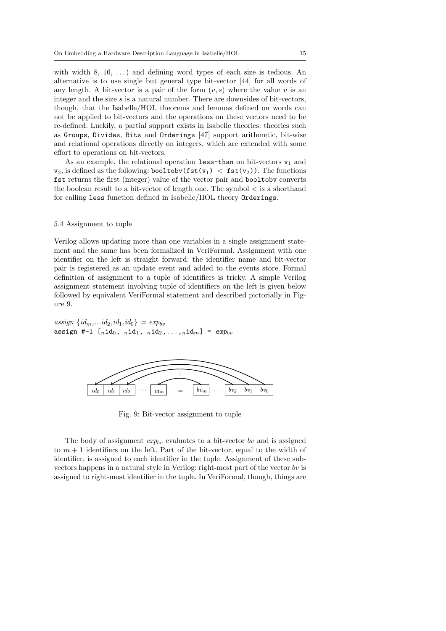with width 8,  $16, \ldots$ ) and defining word types of each size is tedious. An alternative is to use single but general type bit-vector [44] for all words of any length. A bit-vector is a pair of the form  $(v, s)$  where the value v is an integer and the size s is a natural number. There are downsides of bit-vectors, though, that the Isabelle/HOL theorems and lemmas defined on words can not be applied to bit-vectors and the operations on these vectors need to be re-defined. Luckily, a partial support exists in Isabelle theories: theories such as Groups, Divides, Bits and Orderings [47] support arithmetic, bit-wise and relational operations directly on integers, which are extended with some effort to operations on bit-vectors.

As an example, the relational operation less-than on bit-vectors  $v_1$  and  $v_2$ , is defined as the following: booltoby( $fst(v_1) < fst(v_2)$ ). The functions fst returns the first (integer) value of the vector pair and booltobv converts the boolean result to a bit-vector of length one. The symbol < is a shorthand for calling less function defined in Isabelle/HOL theory Orderings.

#### 5.4 Assignment to tuple

Verilog allows updating more than one variables in a single assignment statement and the same has been formalized in VeriFormal. Assignment with one identifier on the left is straight forward: the identifier name and bit-vector pair is registered as an update event and added to the events store. Formal definition of assignment to a tuple of identifiers is tricky. A simple Verilog assignment statement involving tuple of identifiers on the left is given below followed by equivalent VeriFormal statement and described pictorially in Figure 9.

assign  $\{id_m,...id_2,id_1,id_0\}$  =  $exp_{bv}$ assign #-1  $[nid_0, nid_1, nid_2,...,nid_m] = exp_{bv}$ 



Fig. 9: Bit-vector assignment to tuple

The body of assignment  $exp_{bv}$  evaluates to a bit-vector by and is assigned to  $m + 1$  identifiers on the left. Part of the bit-vector, equal to the width of identifier, is assigned to each identifier in the tuple. Assignment of these subvectors happens in a natural style in Verilog: right-most part of the vector bv is assigned to right-most identifier in the tuple. In VeriFormal, though, things are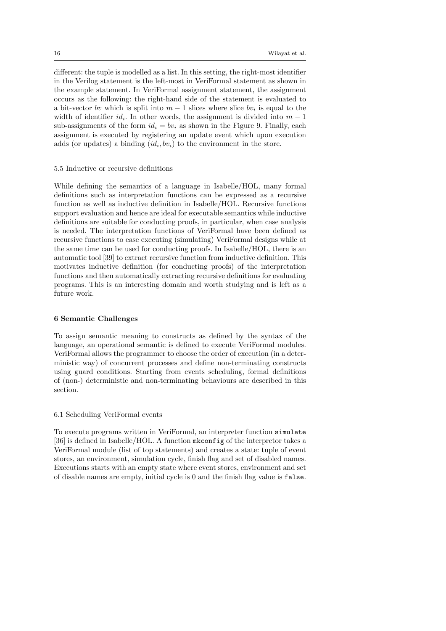different: the tuple is modelled as a list. In this setting, the right-most identifier in the Verilog statement is the left-most in VeriFormal statement as shown in the example statement. In VeriFormal assignment statement, the assignment occurs as the following: the right-hand side of the statement is evaluated to a bit-vector bv which is split into  $m-1$  slices where slice  $bv_i$  is equal to the width of identifier  $id_i$ . In other words, the assignment is divided into  $m-1$ sub-assignments of the form  $id_i = bv_i$  as shown in the Figure 9. Finally, each assignment is executed by registering an update event which upon execution adds (or updates) a binding  $(id_i, bv_i)$  to the environment in the store.

# 5.5 Inductive or recursive definitions

While defining the semantics of a language in Isabelle/HOL, many formal definitions such as interpretation functions can be expressed as a recursive function as well as inductive definition in Isabelle/HOL. Recursive functions support evaluation and hence are ideal for executable semantics while inductive definitions are suitable for conducting proofs, in particular, when case analysis is needed. The interpretation functions of VeriFormal have been defined as recursive functions to ease executing (simulating) VeriFormal designs while at the same time can be used for conducting proofs. In Isabelle/HOL, there is an automatic tool [39] to extract recursive function from inductive definition. This motivates inductive definition (for conducting proofs) of the interpretation functions and then automatically extracting recursive definitions for evaluating programs. This is an interesting domain and worth studying and is left as a future work.

# 6 Semantic Challenges

To assign semantic meaning to constructs as defined by the syntax of the language, an operational semantic is defined to execute VeriFormal modules. VeriFormal allows the programmer to choose the order of execution (in a deterministic way) of concurrent processes and define non-terminating constructs using guard conditions. Starting from events scheduling, formal definitions of (non-) deterministic and non-terminating behaviours are described in this section.

#### 6.1 Scheduling VeriFormal events

To execute programs written in VeriFormal, an interpreter function simulate [36] is defined in Isabelle/HOL. A function mkconfig of the interpretor takes a VeriFormal module (list of top statements) and creates a state: tuple of event stores, an environment, simulation cycle, finish flag and set of disabled names. Executions starts with an empty state where event stores, environment and set of disable names are empty, initial cycle is 0 and the finish flag value is false.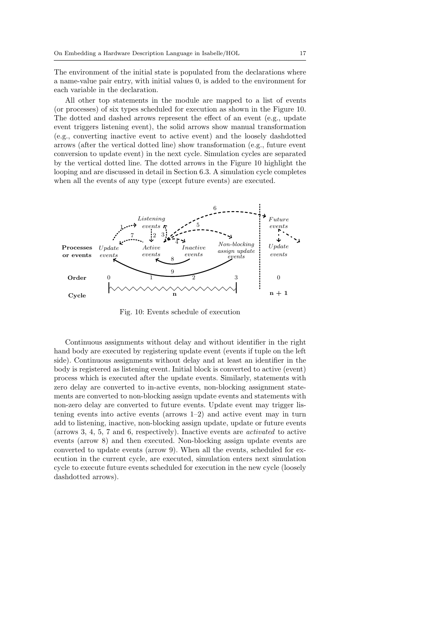The environment of the initial state is populated from the declarations where a name-value pair entry, with initial values 0, is added to the environment for each variable in the declaration.

All other top statements in the module are mapped to a list of events (or processes) of six types scheduled for execution as shown in the Figure 10. The dotted and dashed arrows represent the effect of an event (e.g., update event triggers listening event), the solid arrows show manual transformation (e.g., converting inactive event to active event) and the loosely dashdotted arrows (after the vertical dotted line) show transformation (e.g., future event conversion to update event) in the next cycle. Simulation cycles are separated by the vertical dotted line. The dotted arrows in the Figure 10 highlight the looping and are discussed in detail in Section 6.3. A simulation cycle completes when all the events of any type (except future events) are executed.



Fig. 10: Events schedule of execution

Continuous assignments without delay and without identifier in the right hand body are executed by registering update event (events if tuple on the left side). Continuous assignments without delay and at least an identifier in the body is registered as listening event. Initial block is converted to active (event) process which is executed after the update events. Similarly, statements with zero delay are converted to in-active events, non-blocking assignment statements are converted to non-blocking assign update events and statements with non-zero delay are converted to future events. Update event may trigger listening events into active events (arrows  $1-2$ ) and active event may in turn add to listening, inactive, non-blocking assign update, update or future events (arrows 3, 4, 5, 7 and 6, respectively). Inactive events are activated to active events (arrow 8) and then executed. Non-blocking assign update events are converted to update events (arrow 9). When all the events, scheduled for execution in the current cycle, are executed, simulation enters next simulation cycle to execute future events scheduled for execution in the new cycle (loosely dashdotted arrows).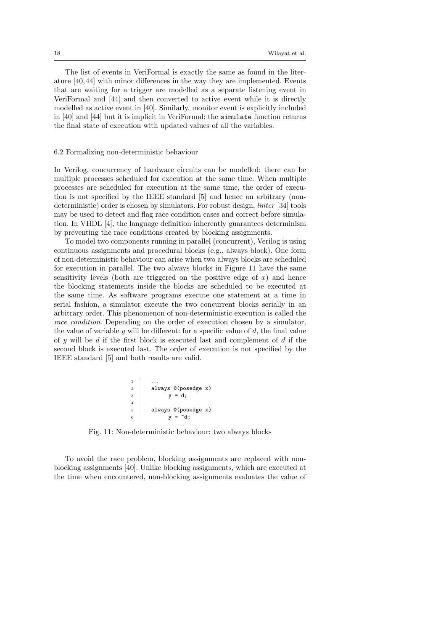The list of events in VeriFormal is exactly the same as found in the literature [40, 44] with minor differences in the way they are implemented. Events that are waiting for a trigger are modelled as a separate listening event in VeriFormal and [44] and then converted to active event while it is directly modelled as active event in [40]. Similarly, monitor event is explicitly included in [40] and [44] but it is implicit in VeriFormal: the simulate function returns the final state of execution with updated values of all the variables.

#### 6.2 Formalizing non-deterministic behaviour

In Verilog, concurrency of hardware circuits can be modelled: there can be multiple processes scheduled for execution at the same time. When multiple processes are scheduled for execution at the same time, the order of execution is not specified by the IEEE standard [5] and hence an arbitrary (nondeterministic) order is chosen by simulators. For robust design, linter [34] tools may be used to detect and flag race condition cases and correct before simulation. In VHDL [4], the language definition inherently guarantees determinism by preventing the race conditions created by blocking assignments.

To model two components running in parallel (concurrent), Verilog is using continuous assignments and procedural blocks (e.g., always block). One form of non-deterministic behaviour can arise when two always blocks are scheduled for execution in parallel. The two always blocks in Figure 11 have the same sensitivity levels (both are triggered on the positive edge of  $x$ ) and hence the blocking statements inside the blocks are scheduled to be executed at the same time. As software programs execute one statement at a time in serial fashion, a simulator execute the two concurrent blocks serially in an arbitrary order. This phenomenon of non-deterministic execution is called the race condition. Depending on the order of execution chosen by a simulator, the value of variable  $y$  will be different: for a specific value of  $d$ , the final value of y will be  $d$  if the first block is executed last and complement of  $d$  if the second block is executed last. The order of execution is not specified by the IEEE standard [5] and both results are valid.

| 1 | ...                 |
|---|---------------------|
| 2 | always @(posedge x) |
| 3 | $y = d$ ;           |
| 4 | always @(posedge x) |
| 5 | always @(posedge x) |
| 6 | $y = \text{a};$     |

Fig. 11: Non-deterministic behaviour: two always blocks

To avoid the race problem, blocking assignments are replaced with nonblocking assignments [40]. Unlike blocking assignments, which are executed at the time when encountered, non-blocking assignments evaluates the value of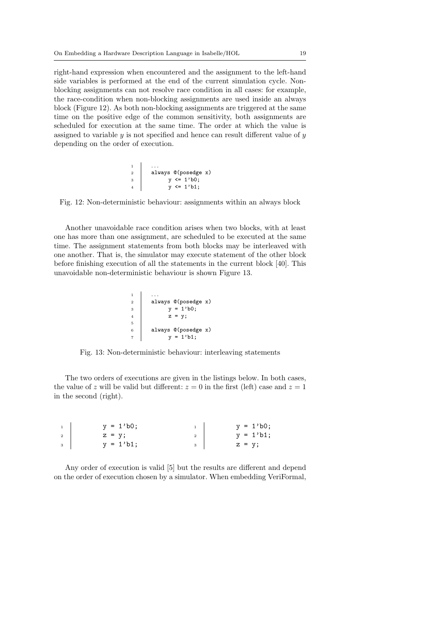right-hand expression when encountered and the assignment to the left-hand side variables is performed at the end of the current simulation cycle. Nonblocking assignments can not resolve race condition in all cases: for example, the race-condition when non-blocking assignments are used inside an always block (Figure 12). As both non-blocking assignments are triggered at the same time on the positive edge of the common sensitivity, both assignments are scheduled for execution at the same time. The order at which the value is assigned to variable  $y$  is not specified and hence can result different value of  $y$ depending on the order of execution.

|   | always @(posedge x) |  |
|---|---------------------|--|
| 3 | $v \le 1$ bo:       |  |
|   | $v \le 1$ 'b1:      |  |

Fig. 12: Non-deterministic behaviour: assignments within an always block

Another unavoidable race condition arises when two blocks, with at least one has more than one assignment, are scheduled to be executed at the same time. The assignment statements from both blocks may be interleaved with one another. That is, the simulator may execute statement of the other block before finishing execution of all the statements in the current block [40]. This unavoidable non-deterministic behaviour is shown Figure 13.

| 1 | ...                 |
|---|---------------------|
| 2 | always @(posedge x) |
| 3 | $y = 1' b0;$        |
| 4 | $z = y;$            |
| 5 | always @(posedge x) |
| 6 | $y = 1' b1;$        |

Fig. 13: Non-deterministic behaviour: interleaving statements

The two orders of executions are given in the listings below. In both cases, the value of z will be valid but different:  $z = 0$  in the first (left) case and  $z = 1$ in the second (right).

| $\mathbf{1}$ | $y = 1$ 'b0; | $y = 1$ 'b0; |
|--------------|--------------|--------------|
| $2^{\circ}$  | $z = y;$     | $y = 1$ 'b1; |
| $\mathbf{3}$ | $y = 1$ 'b1; | $z = y;$     |

Any order of execution is valid [5] but the results are different and depend on the order of execution chosen by a simulator. When embedding VeriFormal,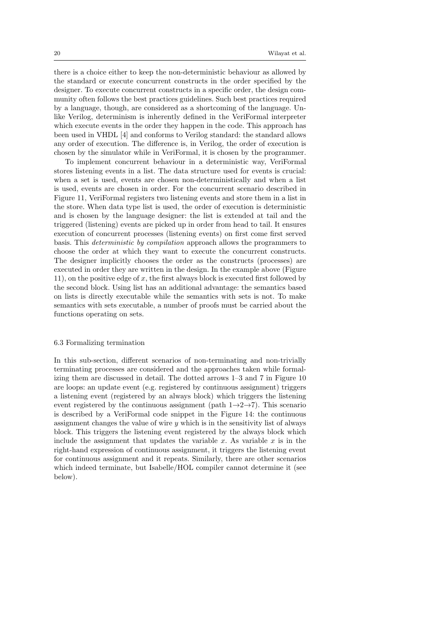there is a choice either to keep the non-deterministic behaviour as allowed by the standard or execute concurrent constructs in the order specified by the designer. To execute concurrent constructs in a specific order, the design community often follows the best practices guidelines. Such best practices required by a language, though, are considered as a shortcoming of the language. Unlike Verilog, determinism is inherently defined in the VeriFormal interpreter which execute events in the order they happen in the code. This approach has been used in VHDL [4] and conforms to Verilog standard: the standard allows any order of execution. The difference is, in Verilog, the order of execution is chosen by the simulator while in VeriFormal, it is chosen by the programmer.

To implement concurrent behaviour in a deterministic way, VeriFormal stores listening events in a list. The data structure used for events is crucial: when a set is used, events are chosen non-deterministically and when a list is used, events are chosen in order. For the concurrent scenario described in Figure 11, VeriFormal registers two listening events and store them in a list in the store. When data type list is used, the order of execution is deterministic and is chosen by the language designer: the list is extended at tail and the triggered (listening) events are picked up in order from head to tail. It ensures execution of concurrent processes (listening events) on first come first served basis. This deterministic by compilation approach allows the programmers to choose the order at which they want to execute the concurrent constructs. The designer implicitly chooses the order as the constructs (processes) are executed in order they are written in the design. In the example above (Figure 11), on the positive edge of  $x$ , the first always block is executed first followed by the second block. Using list has an additional advantage: the semantics based on lists is directly executable while the semantics with sets is not. To make semantics with sets executable, a number of proofs must be carried about the functions operating on sets.

## 6.3 Formalizing termination

In this sub-section, different scenarios of non-terminating and non-trivially terminating processes are considered and the approaches taken while formalizing them are discussed in detail. The dotted arrows 1–3 and 7 in Figure 10 are loops: an update event (e.g. registered by continuous assignment) triggers a listening event (registered by an always block) which triggers the listening event registered by the continuous assignment (path  $1\rightarrow 2\rightarrow 7$ ). This scenario is described by a VeriFormal code snippet in the Figure 14: the continuous assignment changes the value of wire  $y$  which is in the sensitivity list of always block. This triggers the listening event registered by the always block which include the assignment that updates the variable x. As variable x is in the right-hand expression of continuous assignment, it triggers the listening event for continuous assignment and it repeats. Similarly, there are other scenarios which indeed terminate, but Isabelle/HOL compiler cannot determine it (see below).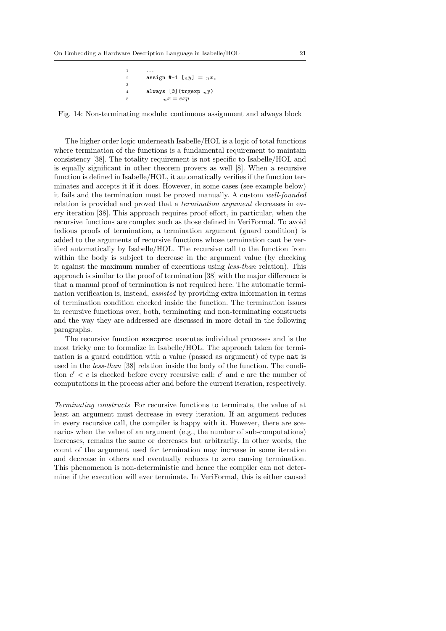$$
\begin{array}{c|c}\n1 \\
2 \\
3 \\
4 \\
5\n\end{array}\n\quad\n\begin{array}{c}\n... \\
\text{assign #-1 } [ny] = nx, \\
\text{always } [\mathbb{Q}] (\text{trgexp } ny) \\
nx = exp\n\end{array}
$$

Fig. 14: Non-terminating module: continuous assignment and always block

The higher order logic underneath Isabelle/HOL is a logic of total functions where termination of the functions is a fundamental requirement to maintain consistency [38]. The totality requirement is not specific to Isabelle/HOL and is equally significant in other theorem provers as well [8]. When a recursive function is defined in Isabelle/HOL, it automatically verifies if the function terminates and accepts it if it does. However, in some cases (see example below) it fails and the termination must be proved manually. A custom well-founded relation is provided and proved that a termination argument decreases in every iteration [38]. This approach requires proof effort, in particular, when the recursive functions are complex such as those defined in VeriFormal. To avoid tedious proofs of termination, a termination argument (guard condition) is added to the arguments of recursive functions whose termination cant be verified automatically by Isabelle/HOL. The recursive call to the function from within the body is subject to decrease in the argument value (by checking it against the maximum number of executions using less-than relation). This approach is similar to the proof of termination [38] with the major difference is that a manual proof of termination is not required here. The automatic termination verification is, instead, assisted by providing extra information in terms of termination condition checked inside the function. The termination issues in recursive functions over, both, terminating and non-terminating constructs and the way they are addressed are discussed in more detail in the following paragraphs.

The recursive function execproc executes individual processes and is the most tricky one to formalize in Isabelle/HOL. The approach taken for termination is a guard condition with a value (passed as argument) of type nat is used in the less-than [38] relation inside the body of the function. The condition  $c' < c$  is checked before every recursive call:  $c'$  and  $c$  are the number of computations in the process after and before the current iteration, respectively.

Terminating constructs For recursive functions to terminate, the value of at least an argument must decrease in every iteration. If an argument reduces in every recursive call, the compiler is happy with it. However, there are scenarios when the value of an argument (e.g., the number of sub-computations) increases, remains the same or decreases but arbitrarily. In other words, the count of the argument used for termination may increase in some iteration and decrease in others and eventually reduces to zero causing termination. This phenomenon is non-deterministic and hence the compiler can not determine if the execution will ever terminate. In VeriFormal, this is either caused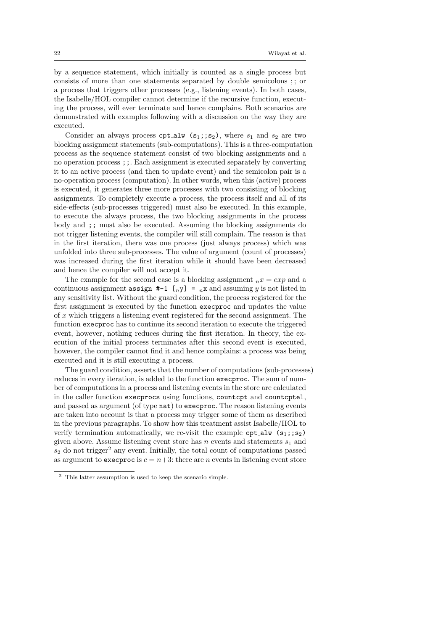by a sequence statement, which initially is counted as a single process but consists of more than one statements separated by double semicolons ; ; or a process that triggers other processes (e.g., listening events). In both cases, the Isabelle/HOL compiler cannot determine if the recursive function, executing the process, will ever terminate and hence complains. Both scenarios are demonstrated with examples following with a discussion on the way they are executed.

Consider an always process  $\texttt{cpt}$  ( $s_1$ ;;s<sub>2</sub>), where  $s_1$  and  $s_2$  are two blocking assignment statements (sub-computations). This is a three-computation process as the sequence statement consist of two blocking assignments and a no operation process ;;. Each assignment is executed separately by converting it to an active process (and then to update event) and the semicolon pair is a no-operation process (computation). In other words, when this (active) process is executed, it generates three more processes with two consisting of blocking assignments. To completely execute a process, the process itself and all of its side-effects (sub-processes triggered) must also be executed. In this example, to execute the always process, the two blocking assignments in the process body and ;; must also be executed. Assuming the blocking assignments do not trigger listening events, the compiler will still complain. The reason is that in the first iteration, there was one process (just always process) which was unfolded into three sub-processes. The value of argument (count of processes) was increased during the first iteration while it should have been decreased and hence the compiler will not accept it.

The example for the second case is a blocking assignment  $_n x = exp$  and a continuous assignment assign  $#-1$   $[ny] = n^x$  and assuming y is not listed in any sensitivity list. Without the guard condition, the process registered for the first assignment is executed by the function execproc and updates the value of x which triggers a listening event registered for the second assignment. The function execproc has to continue its second iteration to execute the triggered event, however, nothing reduces during the first iteration. In theory, the execution of the initial process terminates after this second event is executed, however, the compiler cannot find it and hence complains: a process was being executed and it is still executing a process.

The guard condition, asserts that the number of computations (sub-processes) reduces in every iteration, is added to the function execproc. The sum of number of computations in a process and listening events in the store are calculated in the caller function execprocs using functions, countcpt and countcptel, and passed as argument (of type nat) to execproc. The reason listening events are taken into account is that a process may trigger some of them as described in the previous paragraphs. To show how this treatment assist Isabelle/HOL to verify termination automatically, we re-visit the example  $\texttt{cpt}(\mathsf{s}_1; \mathsf{is}_2)$ given above. Assume listening event store has n events and statements  $s_1$  and  $s_2$  do not trigger<sup>2</sup> any event. Initially, the total count of computations passed as argument to execproc is  $c = n+3$ : there are n events in listening event store

<sup>2</sup> This latter assumption is used to keep the scenario simple.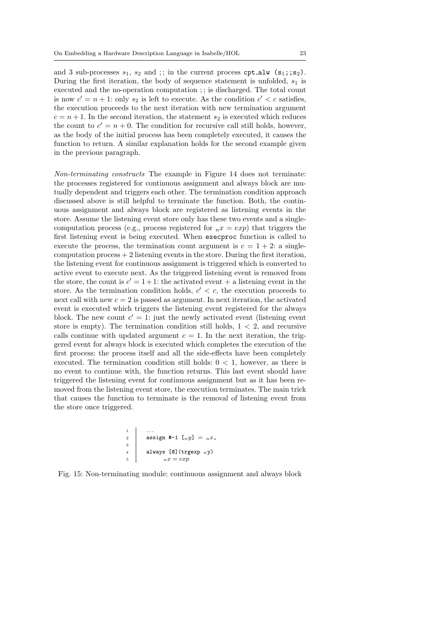and 3 sub-processes  $s_1$ ,  $s_2$  and ;; in the current process cpt alw  $(s_1; s_2)$ . During the first iteration, the body of sequence statement is unfolded,  $s<sub>1</sub>$  is executed and the no-operation computation ; ; is discharged. The total count is now  $c' = n + 1$ : only  $s_2$  is left to execute. As the condition  $c' < c$  satisfies, the execution proceeds to the next iteration with new termination argument  $c = n + 1$ . In the second iteration, the statement  $s_2$  is executed which reduces the count to  $c' = n + 0$ . The condition for recursive call still holds, however, as the body of the initial process has been completely executed, it causes the function to return. A similar explanation holds for the second example given in the previous paragraph.

Non-terminating constructs The example in Figure 14 does not terminate: the processes registered for continuous assignment and always block are mutually dependent and triggers each other. The termination condition approach discussed above is still helpful to terminate the function. Both, the continuous assignment and always block are registered as listening events in the store. Assume the listening event store only has these two events and a singlecomputation process (e.g., process registered for  $_n x = exp$ ) that triggers the first listening event is being executed. When execproc function is called to execute the process, the termination count argument is  $c = 1 + 2$ : a singlecomputation process  $+2$  listening events in the store. During the first iteration, the listening event for continuous assignment is triggered which is converted to active event to execute next. As the triggered listening event is removed from the store, the count is  $c' = 1 + 1$ : the activated event + a listening event in the store. As the termination condition holds,  $c' < c$ , the execution proceeds to next call with new  $c = 2$  is passed as argument. In next iteration, the activated event is executed which triggers the listening event registered for the always block. The new count  $c' = 1$ : just the newly activated event (listening event store is empty). The termination condition still holds,  $1 < 2$ , and recursive calls continue with updated argument  $c = 1$ . In the next iteration, the triggered event for always block is executed which completes the execution of the first process: the process itself and all the side-effects have been completely executed. The termination condition still holds:  $0 < 1$ , however, as there is no event to continue with, the function returns. This last event should have triggered the listening event for continuous assignment but as it has been removed from the listening event store, the execution terminates. The main trick that causes the function to terminate is the removal of listening event from the store once triggered.

$$
\begin{array}{c|c}\n1 \\
2 \\
3 \\
4 \\
5\n\end{array}\n\quad\n\begin{array}{c}\n... \\
\text{assign #-1 } [ny] = n^x, \\
\text{always } [\mathbb{Q}] (\text{trgexp } n y) \\
n x = exp\n\end{array}
$$

Fig. 15: Non-terminating module: continuous assignment and always block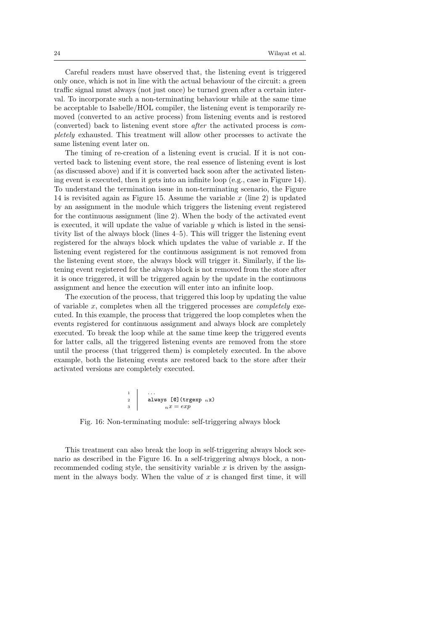Careful readers must have observed that, the listening event is triggered only once, which is not in line with the actual behaviour of the circuit: a green traffic signal must always (not just once) be turned green after a certain interval. To incorporate such a non-terminating behaviour while at the same time be acceptable to Isabelle/HOL compiler, the listening event is temporarily removed (converted to an active process) from listening events and is restored (converted) back to listening event store after the activated process is completely exhausted. This treatment will allow other processes to activate the same listening event later on.

The timing of re-creation of a listening event is crucial. If it is not converted back to listening event store, the real essence of listening event is lost (as discussed above) and if it is converted back soon after the activated listening event is executed, then it gets into an infinite loop (e.g., case in Figure 14). To understand the termination issue in non-terminating scenario, the Figure 14 is revisited again as Figure 15. Assume the variable  $x$  (line 2) is updated by an assignment in the module which triggers the listening event registered for the continuous assignment (line 2). When the body of the activated event is executed, it will update the value of variable  $y$  which is listed in the sensitivity list of the always block (lines 4–5). This will trigger the listening event registered for the always block which updates the value of variable  $x$ . If the listening event registered for the continuous assignment is not removed from the listening event store, the always block will trigger it. Similarly, if the listening event registered for the always block is not removed from the store after it is once triggered, it will be triggered again by the update in the continuous assignment and hence the execution will enter into an infinite loop.

The execution of the process, that triggered this loop by updating the value of variable  $x$ , completes when all the triggered processes are *completely* executed. In this example, the process that triggered the loop completes when the events registered for continuous assignment and always block are completely executed. To break the loop while at the same time keep the triggered events for latter calls, all the triggered listening events are removed from the store until the process (that triggered them) is completely executed. In the above example, both the listening events are restored back to the store after their activated versions are completely executed.

$$
\begin{array}{c|c}\n1 & \cdots \\
2 & \text{always} & \text{[C]} (\text{trgexp } n\text{x}) \\
3 & n\text{x} = \exp\n\end{array}
$$

Fig. 16: Non-terminating module: self-triggering always block

This treatment can also break the loop in self-triggering always block scenario as described in the Figure 16. In a self-triggering always block, a nonrecommended coding style, the sensitivity variable  $x$  is driven by the assignment in the always body. When the value of  $x$  is changed first time, it will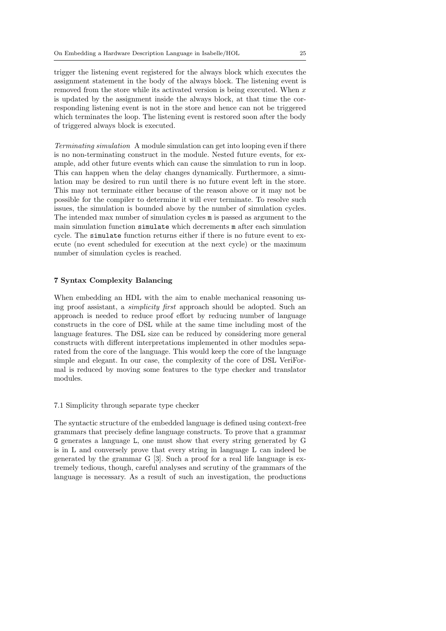trigger the listening event registered for the always block which executes the assignment statement in the body of the always block. The listening event is removed from the store while its activated version is being executed. When x is updated by the assignment inside the always block, at that time the corresponding listening event is not in the store and hence can not be triggered which terminates the loop. The listening event is restored soon after the body of triggered always block is executed.

Terminating simulation A module simulation can get into looping even if there is no non-terminating construct in the module. Nested future events, for example, add other future events which can cause the simulation to run in loop. This can happen when the delay changes dynamically. Furthermore, a simulation may be desired to run until there is no future event left in the store. This may not terminate either because of the reason above or it may not be possible for the compiler to determine it will ever terminate. To resolve such issues, the simulation is bounded above by the number of simulation cycles. The intended max number of simulation cycles m is passed as argument to the main simulation function simulate which decrements m after each simulation cycle. The simulate function returns either if there is no future event to execute (no event scheduled for execution at the next cycle) or the maximum number of simulation cycles is reached.

# 7 Syntax Complexity Balancing

When embedding an HDL with the aim to enable mechanical reasoning using proof assistant, a simplicity first approach should be adopted. Such an approach is needed to reduce proof effort by reducing number of language constructs in the core of DSL while at the same time including most of the language features. The DSL size can be reduced by considering more general constructs with different interpretations implemented in other modules separated from the core of the language. This would keep the core of the language simple and elegant. In our case, the complexity of the core of DSL VeriFormal is reduced by moving some features to the type checker and translator modules.

## 7.1 Simplicity through separate type checker

The syntactic structure of the embedded language is defined using context-free grammars that precisely define language constructs. To prove that a grammar G generates a language L, one must show that every string generated by G is in L and conversely prove that every string in language L can indeed be generated by the grammar G [3]. Such a proof for a real life language is extremely tedious, though, careful analyses and scrutiny of the grammars of the language is necessary. As a result of such an investigation, the productions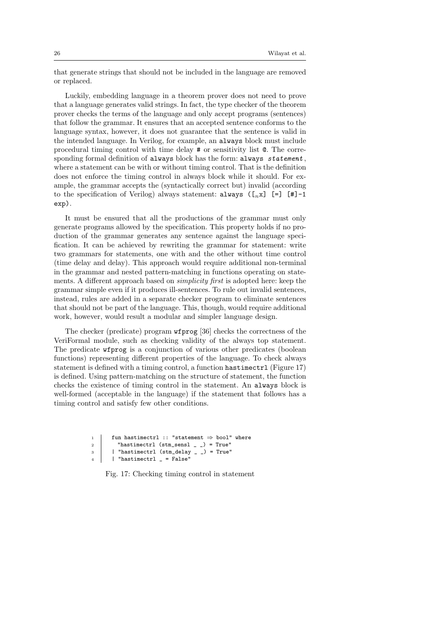that generate strings that should not be included in the language are removed or replaced.

Luckily, embedding language in a theorem prover does not need to prove that a language generates valid strings. In fact, the type checker of the theorem prover checks the terms of the language and only accept programs (sentences) that follow the grammar. It ensures that an accepted sentence conforms to the language syntax, however, it does not guarantee that the sentence is valid in the intended language. In Verilog, for example, an always block must include procedural timing control with time delay # or sensitivity list @. The corresponding formal definition of always block has the form: always statement, where a statement can be with or without timing control. That is the definition does not enforce the timing control in always block while it should. For example, the grammar accepts the (syntactically correct but) invalid (according to the specification of Verilog) always statement: always  $([n]x]$  [=] [#]-1 exp).

It must be ensured that all the productions of the grammar must only generate programs allowed by the specification. This property holds if no production of the grammar generates any sentence against the language specification. It can be achieved by rewriting the grammar for statement: write two grammars for statements, one with and the other without time control (time delay and delay). This approach would require additional non-terminal in the grammar and nested pattern-matching in functions operating on statements. A different approach based on *simplicity first* is adopted here: keep the grammar simple even if it produces ill-sentences. To rule out invalid sentences, instead, rules are added in a separate checker program to eliminate sentences that should not be part of the language. This, though, would require additional work, however, would result a modular and simpler language design.

The checker (predicate) program wfprog [36] checks the correctness of the VeriFormal module, such as checking validity of the always top statement. The predicate wfprog is a conjunction of various other predicates (boolean functions) representing different properties of the language. To check always statement is defined with a timing control, a function hastimectrl (Figure 17) is defined. Using pattern-matching on the structure of statement, the function checks the existence of timing control in the statement. An always block is well-formed (acceptable in the language) if the statement that follows has a timing control and satisfy few other conditions.

> 1 | fun hastimectrl :: "statement  $\Rightarrow$  bool" where "hastimectrl (stm\_sensl  $-$  ) = True" | "hastimectrl (stm\_delay \_ \_) = True" | "hastimectrl  $=$  False"

Fig. 17: Checking timing control in statement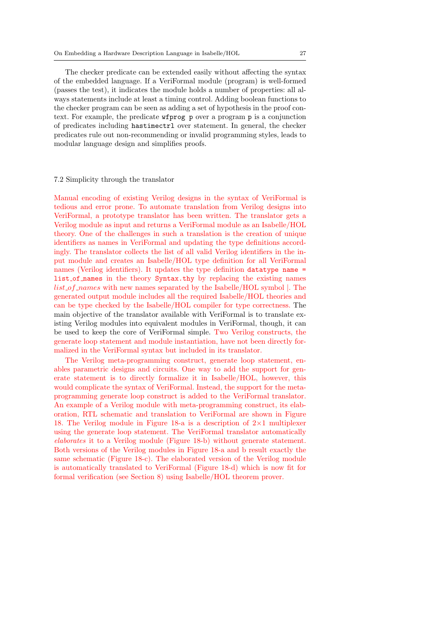The checker predicate can be extended easily without affecting the syntax of the embedded language. If a VeriFormal module (program) is well-formed (passes the test), it indicates the module holds a number of properties: all always statements include at least a timing control. Adding boolean functions to the checker program can be seen as adding a set of hypothesis in the proof context. For example, the predicate wfprog p over a program p is a conjunction of predicates including hastimectrl over statement. In general, the checker predicates rule out non-recommending or invalid programming styles, leads to modular language design and simplifies proofs.

#### 7.2 Simplicity through the translator

Manual encoding of existing Verilog designs in the syntax of VeriFormal is tedious and error prone. To automate translation from Verilog designs into VeriFormal, a prototype translator has been written. The translator gets a Verilog module as input and returns a VeriFormal module as an Isabelle/HOL theory. One of the challenges in such a translation is the creation of unique identifiers as names in VeriFormal and updating the type definitions accordingly. The translator collects the list of all valid Verilog identifiers in the input module and creates an Isabelle/HOL type definition for all VeriFormal names (Verilog identifiers). It updates the type definition datatype name = list of names in the theory Syntax.thy by replacing the existing names list of names with new names separated by the Isabelle/HOL symbol |. The generated output module includes all the required Isabelle/HOL theories and can be type checked by the Isabelle/HOL compiler for type correctness. The main objective of the translator available with VeriFormal is to translate existing Verilog modules into equivalent modules in VeriFormal, though, it can be used to keep the core of VeriFormal simple. Two Verilog constructs, the generate loop statement and module instantiation, have not been directly formalized in the VeriFormal syntax but included in its translator.

The Verilog meta-programming construct, generate loop statement, enables parametric designs and circuits. One way to add the support for generate statement is to directly formalize it in Isabelle/HOL, however, this would complicate the syntax of VeriFormal. Instead, the support for the metaprogramming generate loop construct is added to the VeriFormal translator. An example of a Verilog module with meta-programming construct, its elaboration, RTL schematic and translation to VeriFormal are shown in Figure 18. The Verilog module in Figure 18-a is a description of  $2\times1$  multiplexer using the generate loop statement. The VeriFormal translator automatically elaborates it to a Verilog module (Figure 18-b) without generate statement. Both versions of the Verilog modules in Figure 18-a and b result exactly the same schematic (Figure 18-c). The elaborated version of the Verilog module is automatically translated to VeriFormal (Figure 18-d) which is now fit for formal verification (see Section 8) using Isabelle/HOL theorem prover.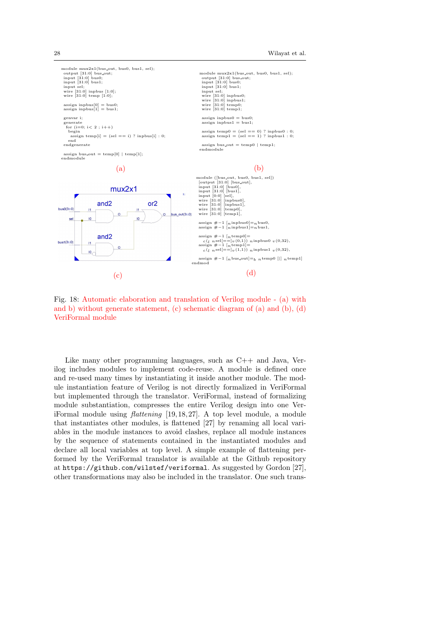

Fig. 18: Automatic elaboration and translation of Verilog module - (a) with and b) without generate statement, (c) schematic diagram of (a) and (b), (d) VeriFormal module

Like many other programming languages, such as C++ and Java, Verilog includes modules to implement code-reuse. A module is defined once and re-used many times by instantiating it inside another module. The module instantiation feature of Verilog is not directly formalized in VeriFormal but implemented through the translator. VeriFormal, instead of formalizing module substantiation, compresses the entire Verilog design into one VeriFormal module using flattening [19, 18, 27]. A top level module, a module that instantiates other modules, is flattened [27] by renaming all local variables in the module instances to avoid clashes, replace all module instances by the sequence of statements contained in the instantiated modules and declare all local variables at top level. A simple example of flattening performed by the VeriFormal translator is available at the Github repository at https://github.com/wilstef/veriformal. As suggested by Gordon [27], other transformations may also be included in the translator. One such trans-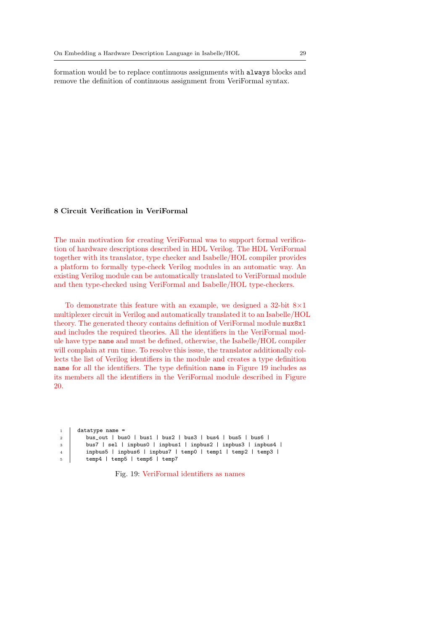formation would be to replace continuous assignments with always blocks and remove the definition of continuous assignment from VeriFormal syntax.

# 8 Circuit Verification in VeriFormal

The main motivation for creating VeriFormal was to support formal verification of hardware descriptions described in HDL Verilog. The HDL VeriFormal together with its translator, type checker and Isabelle/HOL compiler provides a platform to formally type-check Verilog modules in an automatic way. An existing Verilog module can be automatically translated to VeriFormal module and then type-checked using VeriFormal and Isabelle/HOL type-checkers.

To demonstrate this feature with an example, we designed a 32-bit  $8\times1$ multiplexer circuit in Verilog and automatically translated it to an Isabelle/HOL theory. The generated theory contains definition of VeriFormal module mux8x1 and includes the required theories. All the identifiers in the VeriFormal module have type name and must be defined, otherwise, the Isabelle/HOL compiler will complain at run time. To resolve this issue, the translator additionally collects the list of Verilog identifiers in the module and creates a type definition name for all the identifiers. The type definition name in Figure 19 includes as its members all the identifiers in the VeriFormal module described in Figure 20.

 $\begin{array}{c|c} 1 & \text{daturitype name} = \\ 2 & \text{bus-out} & \text{bus} \end{array}$  bus\_out | bus0 | bus1 | bus2 | bus3 | bus4 | bus5 | bus6 | bus7 | sel | inpbus0 | inpbus1 | inpbus2 | inpbus3 | inpbus4 | inpbus5 | inpbus6 | inpbus7 | temp0 | temp1 | temp2 | temp3 | temp4 | temp5 | temp6 | temp7

Fig. 19: VeriFormal identifiers as names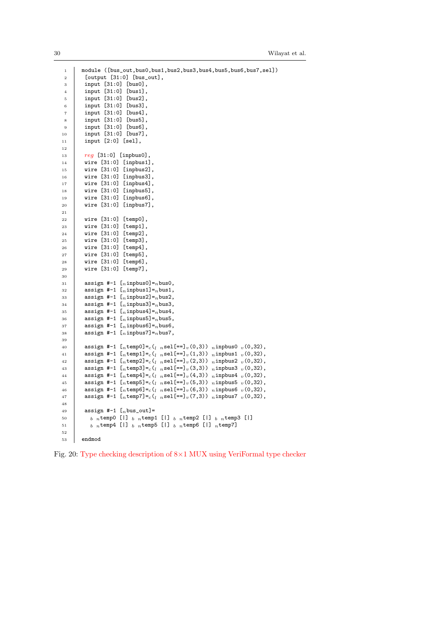| 1              | module ([bus_out,bus0,bus1,bus2,bus3,bus4,bus5,bus6,bus7,sel])                                                                                      |
|----------------|-----------------------------------------------------------------------------------------------------------------------------------------------------|
| $\overline{2}$ | $[output [31:0] [bus-out],$                                                                                                                         |
| 3              | input [31:0]<br>$[bus0]$ ,                                                                                                                          |
| $\overline{4}$ | input [31:0]<br>$[\text{bus1}],$                                                                                                                    |
| 5              | input [31:0]<br>$[bus2]$ ,                                                                                                                          |
| 6              | $input$ $[31:0]$<br>$[\text{bus3}]$ ,                                                                                                               |
| $\overline{7}$ | $input$ $[31:0]$<br>$[\text{bus4}]$ ,                                                                                                               |
| 8              | $input$ [31:0]<br>$[\text{bus5}],$                                                                                                                  |
| $\overline{9}$ | input [31:0]<br>$[\text{bus6}]$ ,                                                                                                                   |
| 10             | $input$ $[31:0]$<br>$[bus7]$ ,                                                                                                                      |
| 11             | $input$ $[2:0]$ $[sel]$ ,                                                                                                                           |
| 12             |                                                                                                                                                     |
| 13             | $reg$ [31:0]<br>[inpbus0],                                                                                                                          |
| 14             | wire [31:0]<br>[inpbus1],                                                                                                                           |
| $1\,5$         | wire [31:0]<br>[inpbus2],                                                                                                                           |
| 16             | wire [31:0]<br>$[$ inpbus $3]$ ,                                                                                                                    |
| $1\,7$         | wire $[31:0]$<br>$[$ inpbus $4]$ ,                                                                                                                  |
| 18             | wire [31:0]<br>$[$ inpbus $5]$ ,                                                                                                                    |
| 19             | wire [31:0]<br>$[$ inpbus $6]$ ,                                                                                                                    |
| 20             | wire $[31:0]$<br>$[$ inpbus $7]$ ,                                                                                                                  |
| 21             |                                                                                                                                                     |
| 22             | wire $[31:0]$<br>$[temp0]$ ,                                                                                                                        |
| 23             | wire $[31:0]$<br>$[temp1]$ ,                                                                                                                        |
| 24             | wire [31:0]<br>$[temp2]$ ,                                                                                                                          |
| 25             | wire [31:0]<br>$[temp3]$ ,                                                                                                                          |
| 26             | wire $[31:0]$<br>$[temp4]$ ,                                                                                                                        |
| 27             | wire $[31:0]$<br>$[temp5]$ ,                                                                                                                        |
| 28             | wire $[31:0]$<br>$[temp6]$ ,                                                                                                                        |
| 29             | wire $[31:0]$<br>$[temp7]$ ,                                                                                                                        |
| 30             |                                                                                                                                                     |
| 31             | assign #-1 $[n]$ inpbus0]= $n$ bus0,                                                                                                                |
| 32             | assign #-1 $\left[$ <sub>n</sub> inpbus1]= <sub>n</sub> bus1,                                                                                       |
| 33             | assign #-1 $\left[$ <sub>n</sub> inpbus2]= <sub>n</sub> bus2,                                                                                       |
| 34             | assign #-1 $[n$ inpbus3]= $n$ bus3,                                                                                                                 |
| 35             | assign #-1 $[n]$ inpbus4]= $n$ bus4,                                                                                                                |
| 36             | assign #-1 $\left[$ <sub>n</sub> inpbus5]= <sub>n</sub> bus5,                                                                                       |
| 37             | assign #-1 $\left[$ <sub>n</sub> inpbus6]= <sub>n</sub> bus6,                                                                                       |
| 38             | assign #-1 $[n$ inpbus7]= $n$ bus7,                                                                                                                 |
| 39             |                                                                                                                                                     |
| 40             | assign #-1 $\lceil (n \text{temp0}] \rceil = c \left( n \text{ sep0,3} \right)$ $\lceil (n \text{app0,3}) \rceil$ $\lceil (n \text{app0,3}) \rceil$ |
| 41             | assign #-1 $\lbrack n$ temp1]= <sub>c</sub> ( $\lbrack n$ sel[==] <sub>v</sub> (1,3)) $\lbrack n$ inpbus1 $\lbrack v(0,32)$ ,                       |
| 42             | assign #-1 $[ntemp2] = c(l_nse1[==]v(2,3))$ $nimplus2$ $v(0,32)$ ,                                                                                  |
| 43             | assign #-1 $[ntemp3] = c(l \ nsel[==] v(3,3))$<br>$n$ inpbus3 $v(0,32)$ ,                                                                           |
| 44             | assign #-1 $\lceil_{n}$ temp4]= <sub>c</sub> ( <sub>l</sub> $_{n}$ sel[==] <sub>v</sub> (4,3))<br>$n$ inpbus4 $v(0,32)$ ,                           |
| 45             | assign #-1 $\lceil_{n}$ temp5]= $_{c}$ ( $_{l}$ $_{n}$ sel[==] $_{v}$ (5,3))<br>$n$ inpbus5 $v(0,32)$ ,                                             |
| 46             | assign #-1 $[ntemp6] = c(l_nse1[==]v(6,3))$ $nimplus6$ $v(0,32)$ ,                                                                                  |
| 47             | assign #-1 [ $_n$ temp7]= $_c$ ( $_l$ $_n$ sel[==] $_v$ (7,3)) $_n$ inpbus7 $_v$ (0,32),                                                            |
| 48             |                                                                                                                                                     |
| 49             | assign #-1 $\left[\begin{smallmatrix}n \\ n \end{smallmatrix}\right]$ hus_out]=                                                                     |
| 50             | $_b$ ntempO [ ] $_b$ ntemp1 [ ] $_b$ ntemp2 [ ] $_b$ ntemp3 [ ]                                                                                     |
| 51             | $_b$ ntemp4 [ ] $_b$ ntemp5 [ ] $_b$ ntemp6 [ ] ntemp7]                                                                                             |
| $^{\rm 52}$    |                                                                                                                                                     |
| 53             | endmod                                                                                                                                              |
|                |                                                                                                                                                     |

Fig. 20: Type checking description of  $8\times1$  MUX using VeriFormal type checker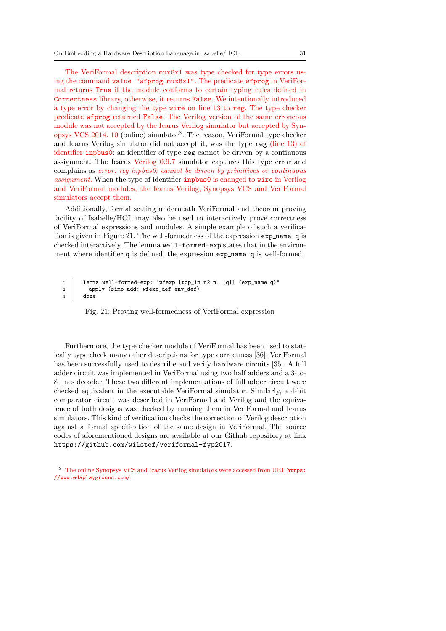The VeriFormal description mux8x1 was type checked for type errors using the command value "wfprog mux8x1". The predicate wfprog in VeriFormal returns True if the module conforms to certain typing rules defined in Correctness library, otherwise, it returns False. We intentionally introduced a type error by changing the type wire on line 13 to reg. The type checker predicate wfprog returned False. The Verilog version of the same erroneous module was not accepted by the Icarus Verilog simulator but accepted by Synopsys VCS 2014. 10 (online) simulator<sup>3</sup>. The reason, VeriFormal type checker and Icarus Verilog simulator did not accept it, was the type reg (line 13) of identifier inpbus0: an identifier of type reg cannot be driven by a continuous assignment. The Icarus Verilog 0.9.7 simulator captures this type error and complains as error: reg inpbus0; cannot be driven by primitives or continuous assignment. When the type of identifier inpbus0 is changed to wire in Verilog and VeriFormal modules, the Icarus Verilog, Synopsys VCS and VeriFormal simulators accept them.

Additionally, formal setting underneath VeriFormal and theorem proving facility of Isabelle/HOL may also be used to interactively prove correctness of VeriFormal expressions and modules. A simple example of such a verification is given in Figure 21. The well-formedness of the expression exp name q is checked interactively. The lemma well-formed-exp states that in the environment where identifier q is defined, the expression exp name q is well-formed.

Fig. 21: Proving well-formedness of VeriFormal expression

Furthermore, the type checker module of VeriFormal has been used to statically type check many other descriptions for type correctness [36]. VeriFormal has been successfully used to describe and verify hardware circuits [35]. A full adder circuit was implemented in VeriFormal using two half adders and a 3-to-8 lines decoder. These two different implementations of full adder circuit were checked equivalent in the executable VeriFormal simulator. Similarly, a 4-bit comparator circuit was described in VeriFormal and Verilog and the equivalence of both designs was checked by running them in VeriFormal and Icarus simulators. This kind of verification checks the correction of Verilog description against a formal specification of the same design in VeriFormal. The source codes of aforementioned designs are available at our Github repository at link https://github.com/wilstef/veriformal-fyp2017.

<sup>1 |</sup> lemma well-formed-exp: "wfexp [top\_in n2 n1 [q]] (exp\_name q)"

<sup>2</sup> apply (simp add: wfexp\_def env\_def)

done

<sup>3</sup> The online Synopsys VCS and Icarus Verilog simulators were accessed from URL https: //www.edaplayground.com/.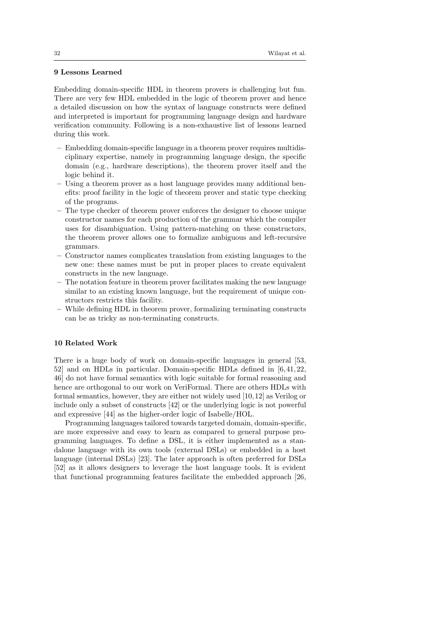## 9 Lessons Learned

Embedding domain-specific HDL in theorem provers is challenging but fun. There are very few HDL embedded in the logic of theorem prover and hence a detailed discussion on how the syntax of language constructs were defined and interpreted is important for programming language design and hardware verification community. Following is a non-exhaustive list of lessons learned during this work.

- Embedding domain-specific language in a theorem prover requires multidisciplinary expertise, namely in programming language design, the specific domain (e.g., hardware descriptions), the theorem prover itself and the logic behind it.
- Using a theorem prover as a host language provides many additional benefits: proof facility in the logic of theorem prover and static type checking of the programs.
- The type checker of theorem prover enforces the designer to choose unique constructor names for each production of the grammar which the compiler uses for disambiguation. Using pattern-matching on these constructors, the theorem prover allows one to formalize ambiguous and left-recursive grammars.
- Constructor names complicates translation from existing languages to the new one: these names must be put in proper places to create equivalent constructs in the new language.
- The notation feature in theorem prover facilitates making the new language similar to an existing known language, but the requirement of unique constructors restricts this facility.
- While defining HDL in theorem prover, formalizing terminating constructs can be as tricky as non-terminating constructs.

#### 10 Related Work

There is a huge body of work on domain-specific languages in general [53, 52] and on HDLs in particular. Domain-specific HDLs defined in [6, 41, 22, 46] do not have formal semantics with logic suitable for formal reasoning and hence are orthogonal to our work on VeriFormal. There are others HDLs with formal semantics, however, they are either not widely used [10, 12] as Verilog or include only a subset of constructs [42] or the underlying logic is not powerful and expressive [44] as the higher-order logic of Isabelle/HOL.

Programming languages tailored towards targeted domain, domain-specific, are more expressive and easy to learn as compared to general purpose programming languages. To define a DSL, it is either implemented as a standalone language with its own tools (external DSLs) or embedded in a host language (internal DSLs) [23]. The later approach is often preferred for DSLs [52] as it allows designers to leverage the host language tools. It is evident that functional programming features facilitate the embedded approach [26,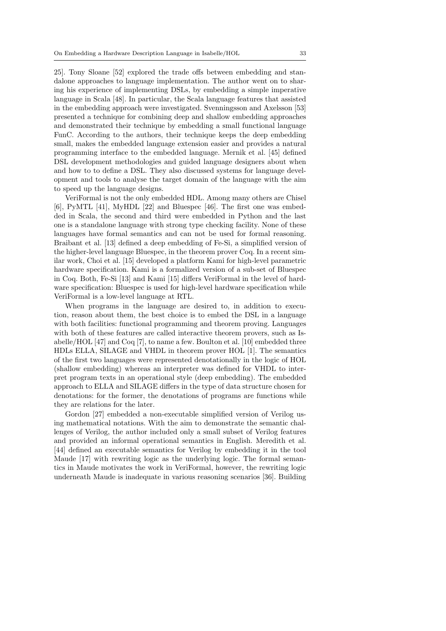25]. Tony Sloane [52] explored the trade offs between embedding and standalone approaches to language implementation. The author went on to sharing his experience of implementing DSLs, by embedding a simple imperative language in Scala [48]. In particular, the Scala language features that assisted in the embedding approach were investigated. Svenningsson and Axelsson [53] presented a technique for combining deep and shallow embedding approaches and demonstrated their technique by embedding a small functional language FunC. According to the authors, their technique keeps the deep embedding small, makes the embedded language extension easier and provides a natural programming interface to the embedded language. Mernik et al. [45] defined DSL development methodologies and guided language designers about when and how to to define a DSL. They also discussed systems for language development and tools to analyse the target domain of the language with the aim to speed up the language designs.

VeriFormal is not the only embedded HDL. Among many others are Chisel [6], PyMTL [41], MyHDL [22] and Bluespec [46]. The first one was embedded in Scala, the second and third were embedded in Python and the last one is a standalone language with strong type checking facility. None of these languages have formal semantics and can not be used for formal reasoning. Braibant et al. [13] defined a deep embedding of Fe-Si, a simplified version of the higher-level language Bluespec, in the theorem prover Coq. In a recent similar work, Choi et al. [15] developed a platform Kami for high-level parametric hardware specification. Kami is a formalized version of a sub-set of Bluespec in Coq. Both, Fe-Si [13] and Kami [15] differs VeriFormal in the level of hardware specification: Bluespec is used for high-level hardware specification while VeriFormal is a low-level language at RTL.

When programs in the language are desired to, in addition to execution, reason about them, the best choice is to embed the DSL in a language with both facilities: functional programming and theorem proving. Languages with both of these features are called interactive theorem provers, such as Isabelle/HOL [47] and Coq [7], to name a few. Boulton et al. [10] embedded three HDLs ELLA, SILAGE and VHDL in theorem prover HOL [1]. The semantics of the first two languages were represented denotationally in the logic of HOL (shallow embedding) whereas an interpreter was defined for VHDL to interpret program texts in an operational style (deep embedding). The embedded approach to ELLA and SILAGE differs in the type of data structure chosen for denotations: for the former, the denotations of programs are functions while they are relations for the later.

Gordon [27] embedded a non-executable simplified version of Verilog using mathematical notations. With the aim to demonstrate the semantic challenges of Verilog, the author included only a small subset of Verilog features and provided an informal operational semantics in English. Meredith et al. [44] defined an executable semantics for Verilog by embedding it in the tool Maude [17] with rewriting logic as the underlying logic. The formal semantics in Maude motivates the work in VeriFormal, however, the rewriting logic underneath Maude is inadequate in various reasoning scenarios [36]. Building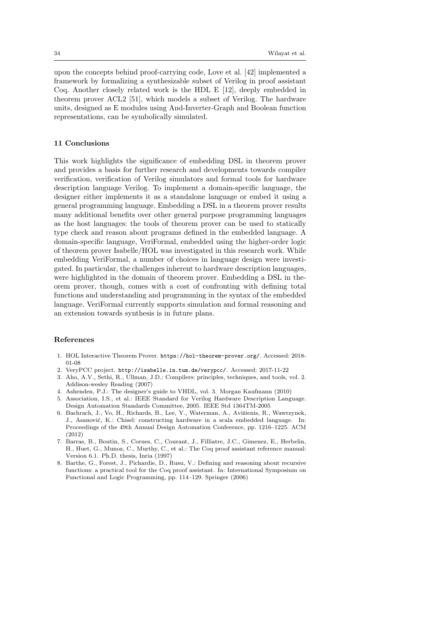upon the concepts behind proof-carrying code, Love et al. [42] implemented a framework by formalizing a synthesizable subset of Verilog in proof assistant Coq. Another closely related work is the HDL E [12], deeply embedded in theorem prover ACL2 [51], which models a subset of Verilog. The hardware units, designed as E modules using And-Inverter-Graph and Boolean function representations, can be symbolically simulated.

# 11 Conclusions

This work highlights the significance of embedding DSL in theorem prover and provides a basis for further research and developments towards compiler verification, verification of Verilog simulators and formal tools for hardware description language Verilog. To implement a domain-specific language, the designer either implements it as a standalone language or embed it using a general programming language. Embedding a DSL in a theorem prover results many additional benefits over other general purpose programming languages as the host languages: the tools of theorem prover can be used to statically type check and reason about programs defined in the embedded language. A domain-specific language, VeriFormal, embedded using the higher-order logic of theorem prover Isabelle/HOL was investigated in this research work. While embedding VeriFormal, a number of choices in language design were investigated. In particular, the challenges inherent to hardware description languages, were highlighted in the domain of theorem prover. Embedding a DSL in theorem prover, though, comes with a cost of confronting with defining total functions and understanding and programming in the syntax of the embedded language. VeriFormal currently supports simulation and formal reasoning and an extension towards synthesis is in future plans.

#### References

- 1. HOL Interactive Theorem Prover. https://hol-theorem-prover.org/. Accessed: 2018- 01-08
- 2. VeryPCC project. http://isabelle.in.tum.de/verypcc/. Accessed: 2017-11-22
- 3. Aho, A.V., Sethi, R., Ullman, J.D.: Compilers: principles, techniques, and tools, vol. 2. Addison-wesley Reading (2007)
- 4. Ashenden, P.J.: The designer's guide to VHDL, vol. 3. Morgan Kaufmann (2010)
- 5. Association, I.S., et al.: IEEE Standard for Verilog Hardware Description Language. Design Automation Standards Committee, 2005. IEEE Std 1364TM-2005
- 6. Bachrach, J., Vo, H., Richards, B., Lee, Y., Waterman, A., Avižienis, R., Wawrzynek, J., Asanović, K.: Chisel: constructing hardware in a scala embedded language. In: Proceedings of the 49th Annual Design Automation Conference, pp. 1216–1225. ACM (2012)
- 7. Barras, B., Boutin, S., Cornes, C., Courant, J., Filliatre, J.C., Gimenez, E., Herbelin, H., Huet, G., Munoz, C., Murthy, C., et al.: The Coq proof assistant reference manual: Version 6.1. Ph.D. thesis, Inria (1997)
- 8. Barthe, G., Forest, J., Pichardie, D., Rusu, V.: Defining and reasoning about recursive functions: a practical tool for the Coq proof assistant. In: International Symposium on Functional and Logic Programming, pp. 114–129. Springer (2006)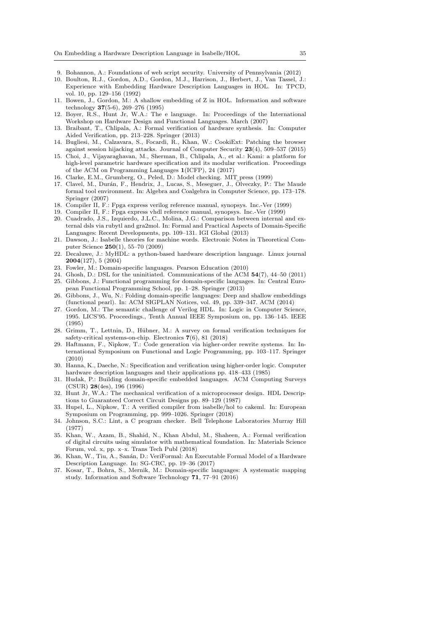- 9. Bohannon, A.: Foundations of web script security. University of Pennsylvania (2012)
- 10. Boulton, R.J., Gordon, A.D., Gordon, M.J., Harrison, J., Herbert, J., Van Tassel, J.: Experience with Embedding Hardware Description Languages in HOL. In: TPCD, vol. 10, pp. 129–156 (1992)
- 11. Bowen, J., Gordon, M.: A shallow embedding of Z in HOL. Information and software technology 37(5-6), 269–276 (1995)
- 12. Boyer, R.S., Hunt Jr, W.A.: The e language. In: Proceedings of the International Workshop on Hardware Design and Functional Languages. March (2007)
- 13. Braibant, T., Chlipala, A.: Formal verification of hardware synthesis. In: Computer Aided Verification, pp. 213–228. Springer (2013)
- 14. Bugliesi, M., Calzavara, S., Focardi, R., Khan, W.: CookiExt: Patching the browser against session hijacking attacks. Journal of Computer Security 23(4), 509–537 (2015)
- 15. Choi, J., Vijayaraghavan, M., Sherman, B., Chlipala, A., et al.: Kami: a platform for high-level parametric hardware specification and its modular verification. Proceedings of the ACM on Programming Languages 1(ICFP), 24 (2017)
- 16. Clarke, E.M., Grumberg, O., Peled, D.: Model checking. MIT press (1999)
- 17. Clavel, M., Durán, F., Hendrix, J., Lucas, S., Meseguer, J., Ölveczky, P.: The Maude formal tool environment. In: Algebra and Coalgebra in Computer Science, pp. 173–178. Springer (2007)
- 18. Compiler II, F.: Fpga express verilog reference manual, synopsys. Inc.-Ver (1999)
- 19. Compiler II, F.: Fpga express vhdl reference manual, synopsys. Inc.-Ver (1999)
- 20. Cuadrado, J.S., Izquierdo, J.L.C., Molina, J.G.: Comparison between internal and external dsls via rubytl and gra2mol. In: Formal and Practical Aspects of Domain-Specific Languages: Recent Developments, pp. 109–131. IGI Global (2013)
- 21. Dawson, J.: Isabelle theories for machine words. Electronic Notes in Theoretical Computer Science 250(1), 55–70 (2009)
- 22. Decaluwe, J.: MyHDL: a python-based hardware description language. Linux journal 2004(127), 5 (2004)
- 23. Fowler, M.: Domain-specific languages. Pearson Education (2010)
- 24. Ghosh, D.: DSL for the uninitiated. Communications of the ACM 54(7), 44–50 (2011)
- 25. Gibbons, J.: Functional programming for domain-specific languages. In: Central Euro-
- pean Functional Programming School, pp. 1–28. Springer (2013) 26. Gibbons, J., Wu, N.: Folding domain-specific languages: Deep and shallow embeddings
- (functional pearl). In: ACM SIGPLAN Notices, vol. 49, pp. 339–347. ACM (2014)
- 27. Gordon, M.: The semantic challenge of Verilog HDL. In: Logic in Computer Science, 1995. LICS'95. Proceedings., Tenth Annual IEEE Symposium on, pp. 136–145. IEEE (1995)
- 28. Grimm, T., Lettnin, D., Hübner, M.: A survey on formal verification techniques for safety-critical systems-on-chip. Electronics 7(6), 81 (2018)
- 29. Haftmann, F., Nipkow, T.: Code generation via higher-order rewrite systems. In: International Symposium on Functional and Logic Programming, pp. 103–117. Springer (2010)
- 30. Hanna, K., Daeche, N.: Specification and verification using higher-order logic. Computer hardware description languages and their applications pp.  $418-433$  (1985)
- 31. Hudak, P.: Building domain-specific embedded languages. ACM Computing Surveys  $(CSUR)$  28 $(4es)$ , 196 $(1996)$
- 32. Hunt Jr, W.A.: The mechanical verification of a microprocessor design. HDL Descriptions to Guaranteed Correct Circuit Designs pp. 89–129 (1987)
- 33. Hupel, L., Nipkow, T.: A verified compiler from isabelle/hol to cakeml. In: European Symposium on Programming, pp. 999–1026. Springer (2018)
- 34. Johnson, S.C.: Lint, a C program checker. Bell Telephone Laboratories Murray Hill (1977)
- 35. Khan, W., Azam, B., Shahid, N., Khan Abdul, M., Shaheen, A.: Formal verification of digital circuits using simulator with mathematical foundation. In: Materials Science Forum, vol. x, pp. x–x. Trans Tech Publ (2018)
- 36. Khan, W., Tiu, A., Sanán, D.: VeriFormal: An Executable Formal Model of a Hardware Description Language. In: SG-CRC, pp. 19–36 (2017)
- 37. Kosar, T., Bohra, S., Mernik, M.: Domain-specific languages: A systematic mapping study. Information and Software Technology 71, 77–91 (2016)